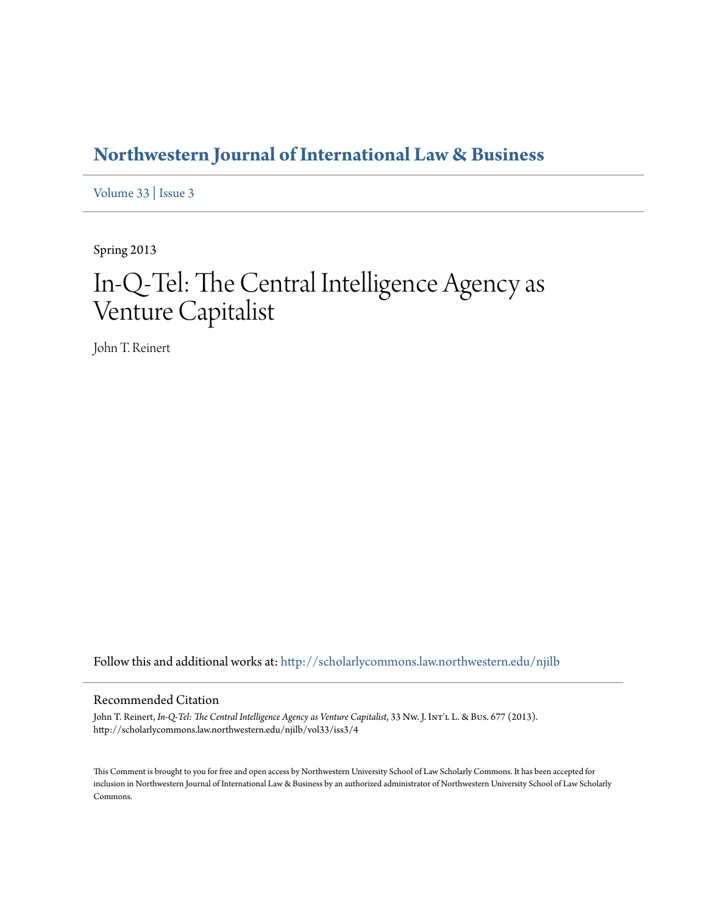# **[Northwestern Journal of International Law & Business](http://scholarlycommons.law.northwestern.edu/njilb?utm_source=scholarlycommons.law.northwestern.edu%2Fnjilb%2Fvol33%2Fiss3%2F4&utm_medium=PDF&utm_campaign=PDFCoverPages)**

[Volume 33](http://scholarlycommons.law.northwestern.edu/njilb/vol33?utm_source=scholarlycommons.law.northwestern.edu%2Fnjilb%2Fvol33%2Fiss3%2F4&utm_medium=PDF&utm_campaign=PDFCoverPages) | [Issue 3](http://scholarlycommons.law.northwestern.edu/njilb/vol33/iss3?utm_source=scholarlycommons.law.northwestern.edu%2Fnjilb%2Fvol33%2Fiss3%2F4&utm_medium=PDF&utm_campaign=PDFCoverPages)

Spring 2013

# In-Q-Tel: The Central Intelligence Agency as Venture Capitalist

John T. Reinert

Follow this and additional works at: [http://scholarlycommons.law.northwestern.edu/njilb](http://scholarlycommons.law.northwestern.edu/njilb?utm_source=scholarlycommons.law.northwestern.edu%2Fnjilb%2Fvol33%2Fiss3%2F4&utm_medium=PDF&utm_campaign=PDFCoverPages)

### Recommended Citation

John T. Reinert, *In-Q-Tel: The Central Intelligence Agency as Venture Capitalist*, 33 Nw. J. In $T'$ L L. & Bus. 677 (2013). http://scholarlycommons.law.northwestern.edu/njilb/vol33/iss3/4

This Comment is brought to you for free and open access by Northwestern University School of Law Scholarly Commons. It has been accepted for inclusion in Northwestern Journal of International Law & Business by an authorized administrator of Northwestern University School of Law Scholarly Commons.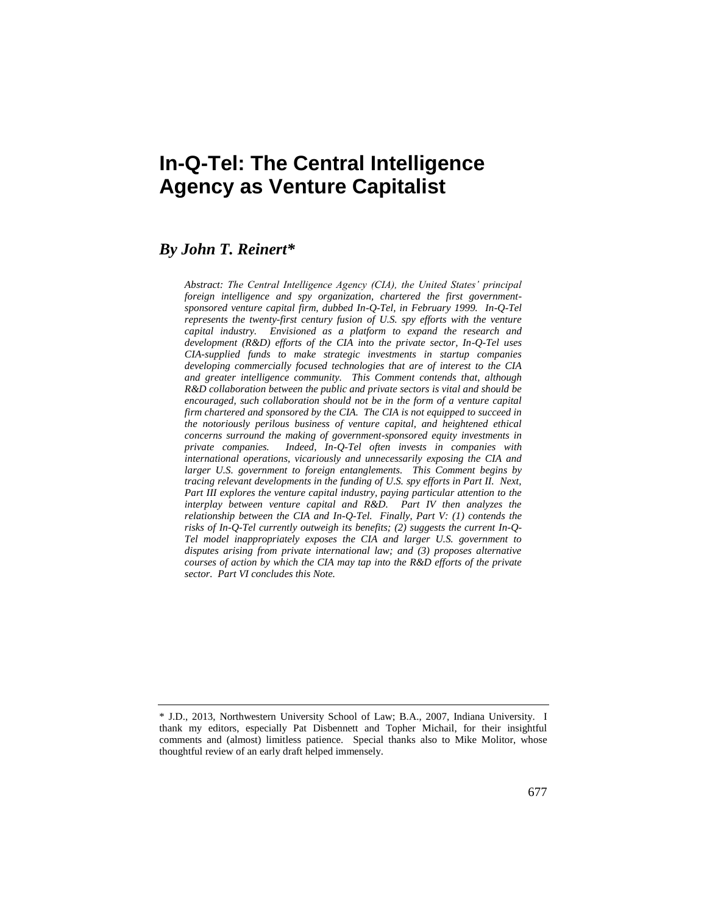# **In-Q-Tel: The Central Intelligence Agency as Venture Capitalist**

# *By John T. Reinert\**

*Abstract: The Central Intelligence Agency (CIA), the United States' principal foreign intelligence and spy organization, chartered the first governmentsponsored venture capital firm, dubbed In-Q-Tel, in February 1999. In-Q-Tel represents the twenty-first century fusion of U.S. spy efforts with the venture capital industry. Envisioned as a platform to expand the research and development (R&D) efforts of the CIA into the private sector, In-Q-Tel uses CIA-supplied funds to make strategic investments in startup companies developing commercially focused technologies that are of interest to the CIA and greater intelligence community. This Comment contends that, although R&D collaboration between the public and private sectors is vital and should be encouraged, such collaboration should not be in the form of a venture capital firm chartered and sponsored by the CIA. The CIA is not equipped to succeed in the notoriously perilous business of venture capital, and heightened ethical concerns surround the making of government-sponsored equity investments in private companies. Indeed, In-Q-Tel often invests in companies with international operations, vicariously and unnecessarily exposing the CIA and larger U.S. government to foreign entanglements. This Comment begins by tracing relevant developments in the funding of U.S. spy efforts in Part II. Next, Part III explores the venture capital industry, paying particular attention to the interplay between venture capital and R&D. Part IV then analyzes the relationship between the CIA and In-Q-Tel. Finally, Part V: (1) contends the risks of In-Q-Tel currently outweigh its benefits; (2) suggests the current In-Q-Tel model inappropriately exposes the CIA and larger U.S. government to disputes arising from private international law; and (3) proposes alternative courses of action by which the CIA may tap into the R&D efforts of the private sector. Part VI concludes this Note.*

<sup>\*</sup> J.D., 2013, Northwestern University School of Law; B.A., 2007, Indiana University. I thank my editors, especially Pat Disbennett and Topher Michail, for their insightful comments and (almost) limitless patience. Special thanks also to Mike Molitor, whose thoughtful review of an early draft helped immensely.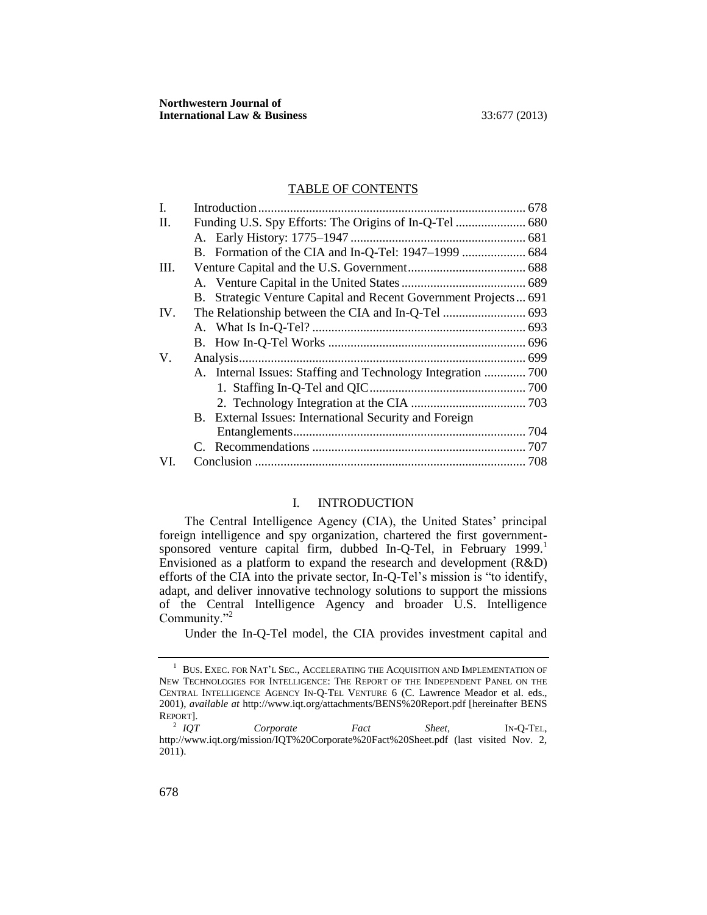#### TABLE OF CONTENTS

| L   |  |                                                                 |  |
|-----|--|-----------------------------------------------------------------|--|
| П.  |  |                                                                 |  |
|     |  |                                                                 |  |
|     |  |                                                                 |  |
| Ш.  |  |                                                                 |  |
|     |  |                                                                 |  |
|     |  | B. Strategic Venture Capital and Recent Government Projects 691 |  |
| IV. |  |                                                                 |  |
|     |  |                                                                 |  |
|     |  |                                                                 |  |
| V.  |  |                                                                 |  |
|     |  | A. Internal Issues: Staffing and Technology Integration  700    |  |
|     |  |                                                                 |  |
|     |  |                                                                 |  |
|     |  | B. External Issues: International Security and Foreign          |  |
|     |  |                                                                 |  |
|     |  |                                                                 |  |
| VI. |  |                                                                 |  |
|     |  |                                                                 |  |

# <span id="page-2-1"></span>I. INTRODUCTION

<span id="page-2-0"></span>The Central Intelligence Agency (CIA), the United States' principal foreign intelligence and spy organization, chartered the first governmentsponsored venture capital firm, dubbed In-Q-Tel, in February 1999.<sup>1</sup> Envisioned as a platform to expand the research and development (R&D) efforts of the CIA into the private sector, In-Q-Tel's mission is "to identify, adapt, and deliver innovative technology solutions to support the missions of the Central Intelligence Agency and broader U.S. Intelligence Community."<sup>2</sup>

<span id="page-2-2"></span>Under the In-Q-Tel model, the CIA provides investment capital and

 $^{\rm 1}~$  Bus. Exec. for Nat'l Sec., Accelerating the Acquisition and Implementation of NEW TECHNOLOGIES FOR INTELLIGENCE: THE REPORT OF THE INDEPENDENT PANEL ON THE CENTRAL INTELLIGENCE AGENCY IN-Q-TEL VENTURE 6 (C. Lawrence Meador et al. eds., 2001), *available at* http://www.iqt.org/attachments/BENS%20Report.pdf [hereinafter BENS REPORT].

<sup>&</sup>lt;sup>2</sup> IOT *Corporate Fact Sheet,* IN-Q-TEL, http://www.iqt.org/mission/IQT%20Corporate%20Fact%20Sheet.pdf (last visited Nov. 2,  $2011$ ).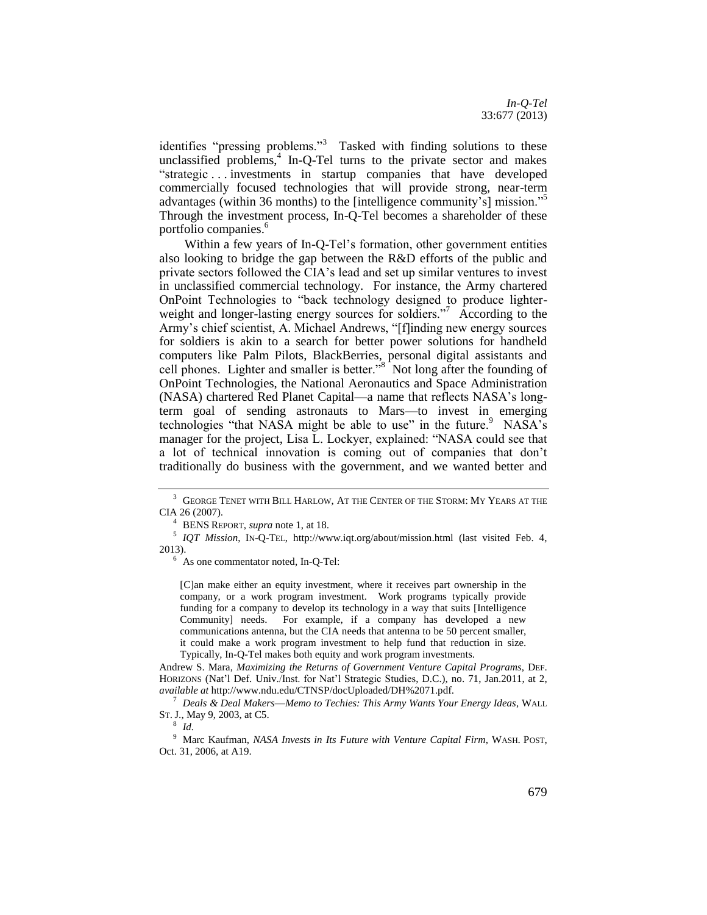<span id="page-3-0"></span>identifies "pressing problems."<sup>3</sup> Tasked with finding solutions to these unclassified problems, $4$  In-Q-Tel turns to the private sector and makes "strategic . . . investments in startup companies that have developed commercially focused technologies that will provide strong, near-term advantages (within 36 months) to the [intelligence community's] mission."<sup>5</sup> Through the investment process, In-Q-Tel becomes a shareholder of these portfolio companies.<sup>6</sup>

<span id="page-3-1"></span>Within a few years of In-Q-Tel's formation, other government entities also looking to bridge the gap between the R&D efforts of the public and private sectors followed the CIA's lead and set up similar ventures to invest in unclassified commercial technology. For instance, the Army chartered OnPoint Technologies to "back technology designed to produce lighterweight and longer-lasting energy sources for soldiers."<sup>7</sup> According to the Army's chief scientist, A. Michael Andrews, "[f]inding new energy sources for soldiers is akin to a search for better power solutions for handheld computers like Palm Pilots, BlackBerries, personal digital assistants and cell phones. Lighter and smaller is better."<sup>8</sup> Not long after the founding of OnPoint Technologies, the National Aeronautics and Space Administration (NASA) chartered Red Planet Capital—a name that reflects NASA's longterm goal of sending astronauts to Mars—to invest in emerging technologies "that NASA might be able to use" in the future.  $9$  NASA's manager for the project, Lisa L. Lockyer, explained: "NASA could see that a lot of technical innovation is coming out of companies that don't traditionally do business with the government, and we wanted better and

<sup>4</sup> BENS REPORT, *supra* not[e 1,](#page-2-1) at 18.

5 *IQT Mission*, IN-Q-TEL, http://www.iqt.org/about/mission.html (last visited Feb. 4, 2013).

<sup>6</sup> As one commentator noted, In-Q-Tel:

[C]an make either an equity investment, where it receives part ownership in the company, or a work program investment. Work programs typically provide funding for a company to develop its technology in a way that suits [Intelligence Community] needs. For example, if a company has developed a new communications antenna, but the CIA needs that antenna to be 50 percent smaller, it could make a work program investment to help fund that reduction in size. Typically, In-Q-Tel makes both equity and work program investments.

Andrew S. Mara, *Maximizing the Returns of Government Venture Capital Programs*, DEF. HORIZONS (Nat'l Def. Univ./Inst. for Nat'l Strategic Studies, D.C.), no. 71, Jan.2011, at 2, *available at* http://www.ndu.edu/CTNSP/docUploaded/DH%2071.pdf.

<sup>7</sup> *Deals & Deal Makers*—*Memo to Techies: This Army Wants Your Energy Ideas*, WALL ST. J., May 9, 2003, at C5.

8 *Id.*

<sup>9</sup> Marc Kaufman, *NASA Invests in Its Future with Venture Capital Firm*, WASH. POST, Oct. 31, 2006, at A19.

<sup>&</sup>lt;sup>3</sup> GEORGE TENET WITH BILL HARLOW, AT THE CENTER OF THE STORM: MY YEARS AT THE CIA 26 (2007).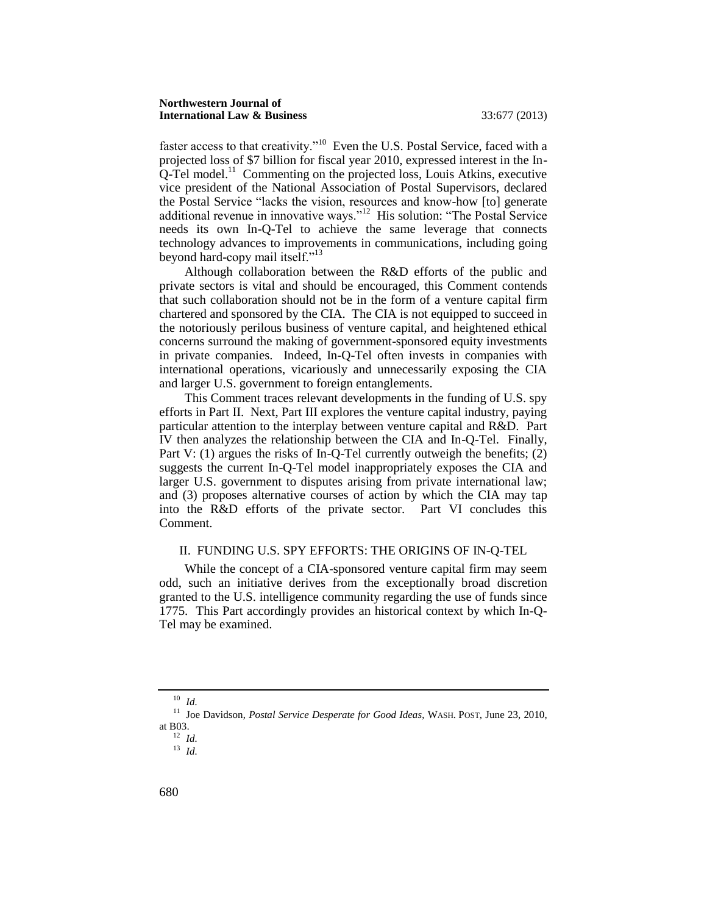faster access to that creativity."<sup>10</sup> Even the U.S. Postal Service, faced with a projected loss of \$7 billion for fiscal year 2010, expressed interest in the In- $Q$ -Tel model.<sup>11</sup> Commenting on the projected loss, Louis Atkins, executive vice president of the National Association of Postal Supervisors, declared the Postal Service "lacks the vision, resources and know-how [to] generate additional revenue in innovative ways."<sup>12</sup> His solution: "The Postal Service needs its own In-Q-Tel to achieve the same leverage that connects technology advances to improvements in communications, including going beyond hard-copy mail itself."<sup>13</sup>

Although collaboration between the R&D efforts of the public and private sectors is vital and should be encouraged, this Comment contends that such collaboration should not be in the form of a venture capital firm chartered and sponsored by the CIA. The CIA is not equipped to succeed in the notoriously perilous business of venture capital, and heightened ethical concerns surround the making of government-sponsored equity investments in private companies. Indeed, In-Q-Tel often invests in companies with international operations, vicariously and unnecessarily exposing the CIA and larger U.S. government to foreign entanglements.

This Comment traces relevant developments in the funding of U.S. spy efforts in Part II. Next, Part III explores the venture capital industry, paying particular attention to the interplay between venture capital and R&D. Part IV then analyzes the relationship between the CIA and In-Q-Tel. Finally, Part V: (1) argues the risks of In-O-Tel currently outweigh the benefits; (2) suggests the current In-Q-Tel model inappropriately exposes the CIA and larger U.S. government to disputes arising from private international law; and (3) proposes alternative courses of action by which the CIA may tap into the R&D efforts of the private sector. Part VI concludes this Comment.

#### <span id="page-4-0"></span>II. FUNDING U.S. SPY EFFORTS: THE ORIGINS OF IN-Q-TEL

While the concept of a CIA-sponsored venture capital firm may seem odd, such an initiative derives from the exceptionally broad discretion granted to the U.S. intelligence community regarding the use of funds since 1775. This Part accordingly provides an historical context by which In-Q-Tel may be examined.

<sup>10</sup> *Id.*

<sup>11</sup> Joe Davidson, *Postal Service Desperate for Good Ideas*, WASH. POST, June 23, 2010, at B03.

<sup>12</sup> *Id.*

<sup>13</sup> *Id.*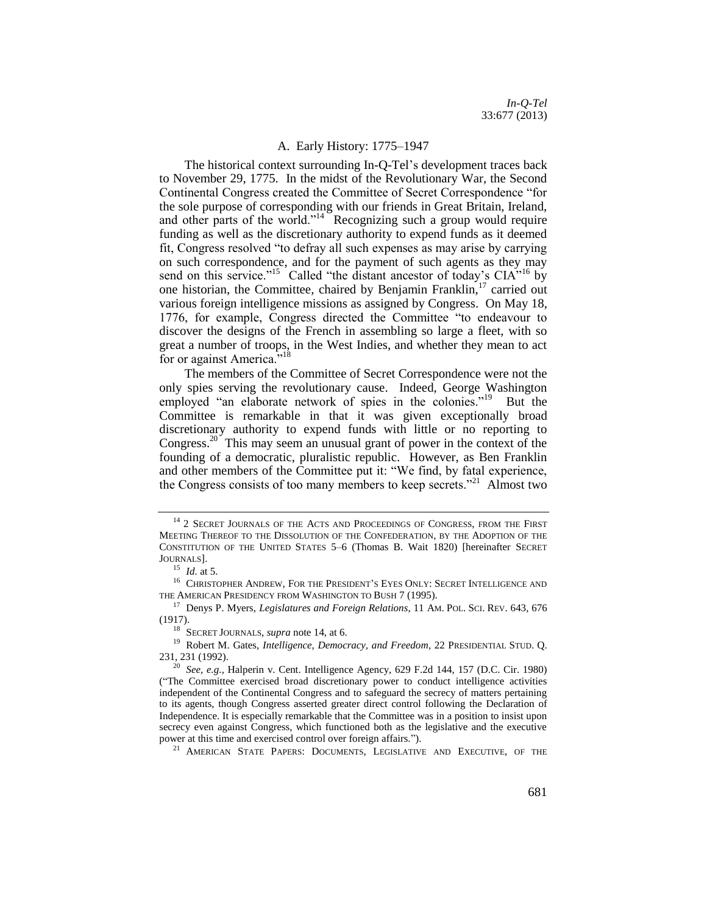#### <span id="page-5-2"></span><span id="page-5-1"></span>A. Early History: 1775–1947

<span id="page-5-0"></span>The historical context surrounding In-Q-Tel's development traces back to November 29, 1775. In the midst of the Revolutionary War, the Second Continental Congress created the Committee of Secret Correspondence "for the sole purpose of corresponding with our friends in Great Britain, Ireland, and other parts of the world."<sup>14</sup> Recognizing such a group would require funding as well as the discretionary authority to expend funds as it deemed fit, Congress resolved "to defray all such expenses as may arise by carrying on such correspondence, and for the payment of such agents as they may send on this service."<sup>15</sup> Called "the distant ancestor of today's  $\text{CIA}^{5,16}$  by one historian, the Committee, chaired by Benjamin Franklin,<sup>17</sup> carried out various foreign intelligence missions as assigned by Congress. On May 18, 1776, for example, Congress directed the Committee "to endeavour to discover the designs of the French in assembling so large a fleet, with so great a number of troops, in the West Indies, and whether they mean to act for or against America."<sup>18</sup>

<span id="page-5-3"></span>The members of the Committee of Secret Correspondence were not the only spies serving the revolutionary cause. Indeed, George Washington employed "an elaborate network of spies in the colonies."<sup>19</sup> But the Committee is remarkable in that it was given exceptionally broad discretionary authority to expend funds with little or no reporting to Congress.<sup>20</sup> This may seem an unusual grant of power in the context of the founding of a democratic, pluralistic republic. However, as Ben Franklin and other members of the Committee put it: "We find, by fatal experience, the Congress consists of too many members to keep secrets."<sup>21</sup> Almost two

 $^{14}$  2 SECRET JOURNALS OF THE ACTS AND PROCEEDINGS OF CONGRESS, FROM THE FIRST MEETING THEREOF TO THE DISSOLUTION OF THE CONFEDERATION, BY THE ADOPTION OF THE CONSTITUTION OF THE UNITED STATES 5–6 (Thomas B. Wait 1820) [hereinafter SECRET JOURNALS].

<sup>15</sup> *Id.* at 5.

 $^{16}\,$  CHRISTOPHER ANDREW, FOR THE PRESIDENT'S EYES ONLY: SECRET INTELLIGENCE AND THE AMERICAN PRESIDENCY FROM WASHINGTON TO BUSH 7 (1995).

<sup>&</sup>lt;sup>17</sup> Denys P. Myers, *Legislatures and Foreign Relations*, 11 AM. POL. SCI. REV. 643, 676 (1917).

<sup>18</sup> SECRET JOURNALS, *supra* not[e 14,](#page-5-1) at 6.

<sup>19</sup> Robert M. Gates, *Intelligence, Democracy, and Freedom*, 22 PRESIDENTIAL STUD. Q. 231, 231 (1992).

<sup>20</sup> *See, e.g.*, Halperin v. Cent. Intelligence Agency, 629 F.2d 144, 157 (D.C. Cir. 1980) ("The Committee exercised broad discretionary power to conduct intelligence activities independent of the Continental Congress and to safeguard the secrecy of matters pertaining to its agents, though Congress asserted greater direct control following the Declaration of Independence. It is especially remarkable that the Committee was in a position to insist upon secrecy even against Congress, which functioned both as the legislative and the executive power at this time and exercised control over foreign affairs.").

<sup>&</sup>lt;sup>21</sup> AMERICAN STATE PAPERS: DOCUMENTS, LEGISLATIVE AND EXECUTIVE, OF THE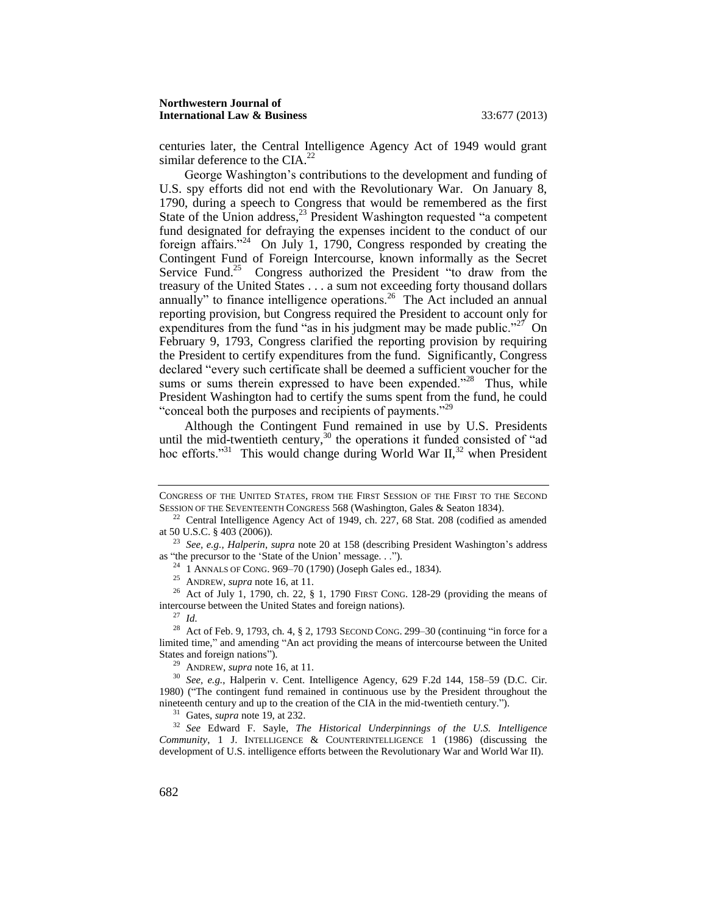centuries later, the Central Intelligence Agency Act of 1949 would grant similar deference to the CIA. $^{22}$ 

George Washington's contributions to the development and funding of U.S. spy efforts did not end with the Revolutionary War. On January 8, 1790, during a speech to Congress that would be remembered as the first State of the Union address, $^{23}$  President Washington requested "a competent" fund designated for defraying the expenses incident to the conduct of our foreign affairs."<sup>24</sup> On July 1, 1790, Congress responded by creating the Contingent Fund of Foreign Intercourse, known informally as the Secret Service Fund.<sup>25</sup> Congress authorized the President "to draw from the treasury of the United States . . . a sum not exceeding forty thousand dollars annually" to finance intelligence operations.<sup>26</sup> The Act included an annual reporting provision, but Congress required the President to account only for expenditures from the fund "as in his judgment may be made public."<sup>27</sup> On February 9, 1793, Congress clarified the reporting provision by requiring the President to certify expenditures from the fund. Significantly, Congress declared "every such certificate shall be deemed a sufficient voucher for the sums or sums therein expressed to have been expended."<sup>28</sup> Thus, while President Washington had to certify the sums spent from the fund, he could "conceal both the purposes and recipients of payments."<sup>29</sup>

Although the Contingent Fund remained in use by U.S. Presidents until the mid-twentieth century, $30$  the operations it funded consisted of "ad hoc efforts."<sup>31</sup> This would change during World War II,<sup>32</sup> when President

<sup>24</sup> 1 ANNALS OF CONG. 969–70 (1790) (Joseph Gales ed., 1834).

<sup>25</sup> ANDREW, *supra* not[e 16,](#page-5-2) at 11.

<sup>26</sup> Act of July 1, 1790, ch. 22, § 1, 1790 FIRST CONG. 128-29 (providing the means of intercourse between the United States and foreign nations).

<sup>27</sup> *Id.*

<sup>28</sup> Act of Feb. 9, 1793, ch. 4, § 2, 1793 SECOND CONG. 299–30 (continuing "in force for a limited time," and amending "An act providing the means of intercourse between the United States and foreign nations").

<sup>29</sup> ANDREW, *supra* not[e 16,](#page-5-2) at 11.

<sup>31</sup> Gates, *supra* not[e 19,](#page-5-3) at 232.

<sup>32</sup> *See* Edward F. Sayle, *The Historical Underpinnings of the U.S. Intelligence Community*, 1 J. INTELLIGENCE & COUNTERINTELLIGENCE 1 (1986) (discussing the development of U.S. intelligence efforts between the Revolutionary War and World War II).

CONGRESS OF THE UNITED STATES, FROM THE FIRST SESSION OF THE FIRST TO THE SECOND SESSION OF THE SEVENTEENTH CONGRESS 568 (Washington, Gales & Seaton 1834).

 $22$  Central Intelligence Agency Act of 1949, ch. 227, 68 Stat. 208 (codified as amended at 50 U.S.C. § 403 (2006)).

<sup>23</sup> *See, e.g.*, *Halperin*, *supra* note 20 at 158 (describing President Washington's address as "the precursor to the 'State of the Union' message. . .").

<sup>30</sup> *See, e.g.*, Halperin v. Cent. Intelligence Agency, 629 F.2d 144, 158–59 (D.C. Cir. 1980) ("The contingent fund remained in continuous use by the President throughout the nineteenth century and up to the creation of the CIA in the mid-twentieth century.").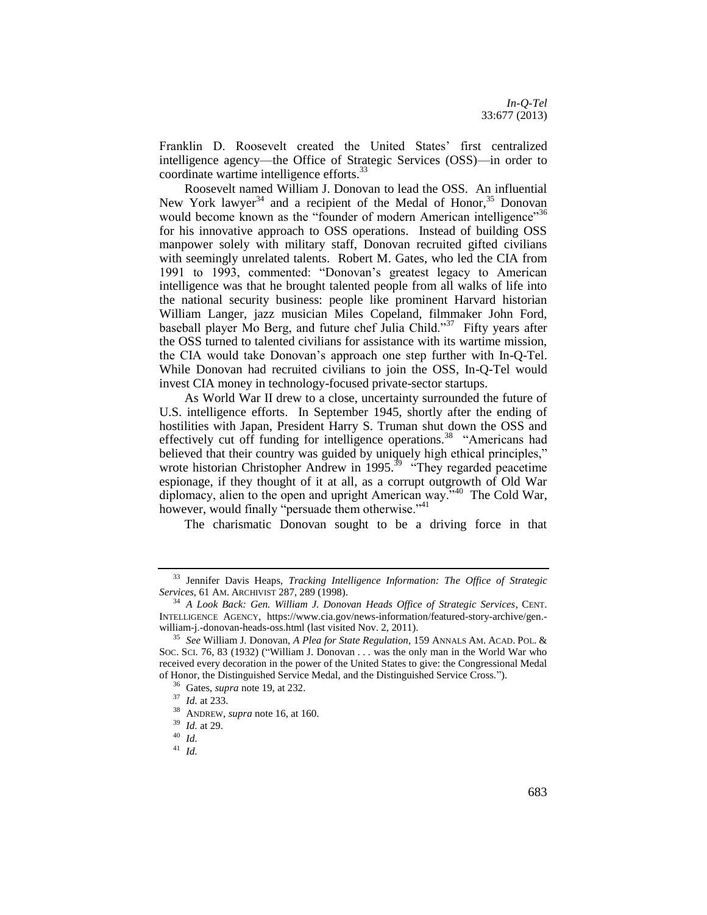Franklin D. Roosevelt created the United States' first centralized intelligence agency—the Office of Strategic Services (OSS)—in order to coordinate wartime intelligence efforts.<sup>33</sup>

Roosevelt named William J. Donovan to lead the OSS. An influential New York lawyer<sup>34</sup> and a recipient of the Medal of Honor,<sup>35</sup> Donovan would become known as the "founder of modern American intelligence"<sup>36</sup> for his innovative approach to OSS operations. Instead of building OSS manpower solely with military staff, Donovan recruited gifted civilians with seemingly unrelated talents. Robert M. Gates, who led the CIA from 1991 to 1993, commented: "Donovan's greatest legacy to American intelligence was that he brought talented people from all walks of life into the national security business: people like prominent Harvard historian William Langer, jazz musician Miles Copeland, filmmaker John Ford, baseball player Mo Berg, and future chef Julia Child."<sup>37</sup> Fifty years after the OSS turned to talented civilians for assistance with its wartime mission, the CIA would take Donovan's approach one step further with In-Q-Tel. While Donovan had recruited civilians to join the OSS, In-Q-Tel would invest CIA money in technology-focused private-sector startups.

As World War II drew to a close, uncertainty surrounded the future of U.S. intelligence efforts. In September 1945, shortly after the ending of hostilities with Japan, President Harry S. Truman shut down the OSS and effectively cut off funding for intelligence operations.<sup>38</sup> "Americans had believed that their country was guided by uniquely high ethical principles," wrote historian Christopher Andrew in 1995.<sup>39</sup> "They regarded peacetime espionage, if they thought of it at all, as a corrupt outgrowth of Old War diplomacy, alien to the open and upright American way."<sup>40</sup> The Cold War, however, would finally "persuade them otherwise."<sup>41</sup>

The charismatic Donovan sought to be a driving force in that

<sup>33</sup> Jennifer Davis Heaps, *Tracking Intelligence Information: The Office of Strategic Services*, 61 AM. ARCHIVIST 287, 289 (1998).

<sup>34</sup> *A Look Back: Gen. William J. Donovan Heads Office of Strategic Services*, CENT. INTELLIGENCE AGENCY, https://www.cia.gov/news-information/featured-story-archive/gen. william-j.-donovan-heads-oss.html (last visited Nov. 2, 2011).

<sup>35</sup> *See* William J. Donovan, *A Plea for State Regulation*, 159 ANNALS AM. ACAD. POL. & SOC. SCI. 76, 83 (1932) ("William J. Donovan . . . was the only man in the World War who received every decoration in the power of the United States to give: the Congressional Medal of Honor, the Distinguished Service Medal, and the Distinguished Service Cross.").

<sup>36</sup> Gates, *supra* not[e 19,](#page-5-3) at 232.

<sup>37</sup> *Id.* at 233.

<sup>38</sup> ANDREW, *supra* not[e 16,](#page-5-2) at 160.

<sup>39</sup> *Id.* at 29.

<sup>40</sup> *Id.*

<sup>41</sup> *Id.*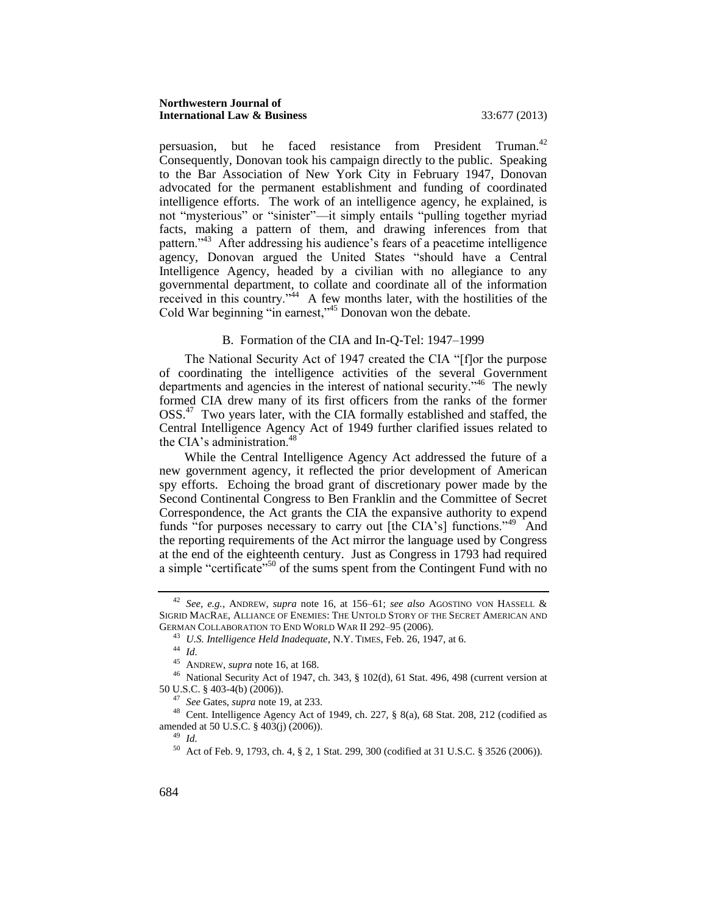#### **Northwestern Journal of International Law & Business** 33:677 (2013)

persuasion, but he faced resistance from President Truman.<sup>42</sup> Consequently, Donovan took his campaign directly to the public. Speaking to the Bar Association of New York City in February 1947, Donovan advocated for the permanent establishment and funding of coordinated intelligence efforts. The work of an intelligence agency, he explained, is not "mysterious" or "sinister"—it simply entails "pulling together myriad facts, making a pattern of them, and drawing inferences from that pattern."<sup>43</sup> After addressing his audience's fears of a peacetime intelligence agency, Donovan argued the United States "should have a Central Intelligence Agency, headed by a civilian with no allegiance to any governmental department, to collate and coordinate all of the information received in this country." $44$  A few months later, with the hostilities of the Cold War beginning "in earnest,"<sup>45</sup> Donovan won the debate.

# B. Formation of the CIA and In-Q-Tel: 1947–1999

<span id="page-8-0"></span>The National Security Act of 1947 created the CIA "[f]or the purpose of coordinating the intelligence activities of the several Government departments and agencies in the interest of national security."<sup>46</sup> The newly formed CIA drew many of its first officers from the ranks of the former OSS.<sup>47</sup> Two years later, with the CIA formally established and staffed, the Central Intelligence Agency Act of 1949 further clarified issues related to the CIA's administration.<sup>48</sup>

While the Central Intelligence Agency Act addressed the future of a new government agency, it reflected the prior development of American spy efforts. Echoing the broad grant of discretionary power made by the Second Continental Congress to Ben Franklin and the Committee of Secret Correspondence, the Act grants the CIA the expansive authority to expend funds "for purposes necessary to carry out [the CIA's] functions."<sup>49</sup> And the reporting requirements of the Act mirror the language used by Congress at the end of the eighteenth century. Just as Congress in 1793 had required a simple "certificate"<sup>50</sup> of the sums spent from the Contingent Fund with no

<sup>42</sup> *See, e.g.*, ANDREW, *supra* note [16,](#page-5-2) at 156–61; *see also* AGOSTINO VON HASSELL & SIGRID MACRAE, ALLIANCE OF ENEMIES: THE UNTOLD STORY OF THE SECRET AMERICAN AND GERMAN COLLABORATION TO END WORLD WAR II 292–95 (2006).

<sup>43</sup> *U.S. Intelligence Held Inadequate*, N.Y. TIMES, Feb. 26, 1947, at 6.

<sup>44</sup> *Id.*

<sup>45</sup> ANDREW, *supra* not[e 16,](#page-5-2) at 168.

<sup>46</sup> National Security Act of 1947, ch. 343, § 102(d), 61 Stat. 496, 498 (current version at 50 U.S.C. § 403-4(b) (2006)).

<sup>47</sup> *See* Gates, *supra* not[e 19,](#page-5-3) at 233.

<sup>48</sup> Cent. Intelligence Agency Act of 1949, ch. 227, § 8(a), 68 Stat. 208, 212 (codified as amended at 50 U.S.C. § 403(j) (2006)).

<sup>49</sup> *Id.*

<sup>50</sup> Act of Feb. 9, 1793, ch. 4, § 2, 1 Stat. 299, 300 (codified at 31 U.S.C. § 3526 (2006)).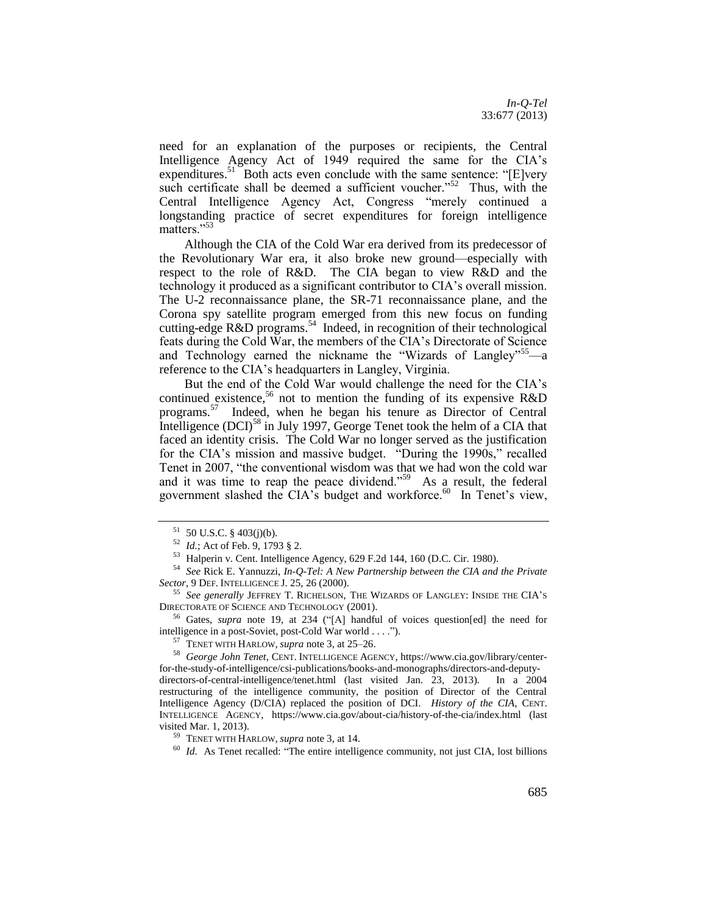need for an explanation of the purposes or recipients, the Central Intelligence Agency Act of 1949 required the same for the CIA's expenditures.<sup>51</sup> Both acts even conclude with the same sentence: "[E]very such certificate shall be deemed a sufficient voucher."<sup>52</sup> Thus, with the Central Intelligence Agency Act, Congress "merely continued a longstanding practice of secret expenditures for foreign intelligence matters."<sup>53</sup>

Although the CIA of the Cold War era derived from its predecessor of the Revolutionary War era, it also broke new ground—especially with respect to the role of R&D. The CIA began to view R&D and the technology it produced as a significant contributor to CIA's overall mission. The U-2 reconnaissance plane, the SR-71 reconnaissance plane, and the Corona spy satellite program emerged from this new focus on funding cutting-edge R&D programs.<sup>54</sup> Indeed, in recognition of their technological feats during the Cold War, the members of the CIA's Directorate of Science and Technology earned the nickname the "Wizards of Langley"<sup>55</sup>—a reference to the CIA's headquarters in Langley, Virginia.

<span id="page-9-0"></span>But the end of the Cold War would challenge the need for the CIA's continued existence,<sup>56</sup> not to mention the funding of its expensive  $R&D$ programs.<sup>57</sup> Indeed, when he began his tenure as Director of Central Intelligence  $(DCI)^{58}$  in July 1997, George Tenet took the helm of a CIA that faced an identity crisis. The Cold War no longer served as the justification for the CIA's mission and massive budget. "During the 1990s," recalled Tenet in 2007, "the conventional wisdom was that we had won the cold war and it was time to reap the peace dividend."<sup>59</sup> As a result, the federal government slashed the CIA's budget and workforce. $60$  In Tenet's view,

<sup>56</sup> Gates, *supra* note [19,](#page-5-3) at 234 ("[A] handful of voices question[ed] the need for intelligence in a post-Soviet, post-Cold War world . . . .").

<sup>57</sup> TENET WITH HARLOW, *supra* note [3,](#page-3-0) at 25–26.

<sup>58</sup> *George John Tenet*, CENT. INTELLIGENCE AGENCY, https://www.cia.gov/library/centerfor-the-study-of-intelligence/csi-publications/books-and-monographs/directors-and-deputydirectors-of-central-intelligence/tenet.html (last visited Jan. 23, 2013). In a 2004 restructuring of the intelligence community, the position of Director of the Central Intelligence Agency (D/CIA) replaced the position of DCI. *History of the CIA*, CENT. INTELLIGENCE AGENCY, https://www.cia.gov/about-cia/history-of-the-cia/index.html (last visited Mar. 1, 2013).

<sup>59</sup> TENET WITH HARLOW, *supra* note [3,](#page-3-0) at 14.

<sup>60</sup> *Id.* As Tenet recalled: "The entire intelligence community, not just CIA, lost billions

 $51$  50 U.S.C. § 403(j)(b).

<sup>52</sup> *Id.*; Act of Feb. 9, 1793 § 2.

<sup>53</sup> Halperin v. Cent. Intelligence Agency, 629 F.2d 144, 160 (D.C. Cir. 1980).

<sup>54</sup> *See* Rick E. Yannuzzi, *In-Q-Tel: A New Partnership between the CIA and the Private Sector*, 9 DEF. INTELLIGENCE J. 25, 26 (2000).

<sup>55</sup> *See generally* JEFFREY T. RICHELSON, THE WIZARDS OF LANGLEY: INSIDE THE CIA'<sup>S</sup> DIRECTORATE OF SCIENCE AND TECHNOLOGY (2001).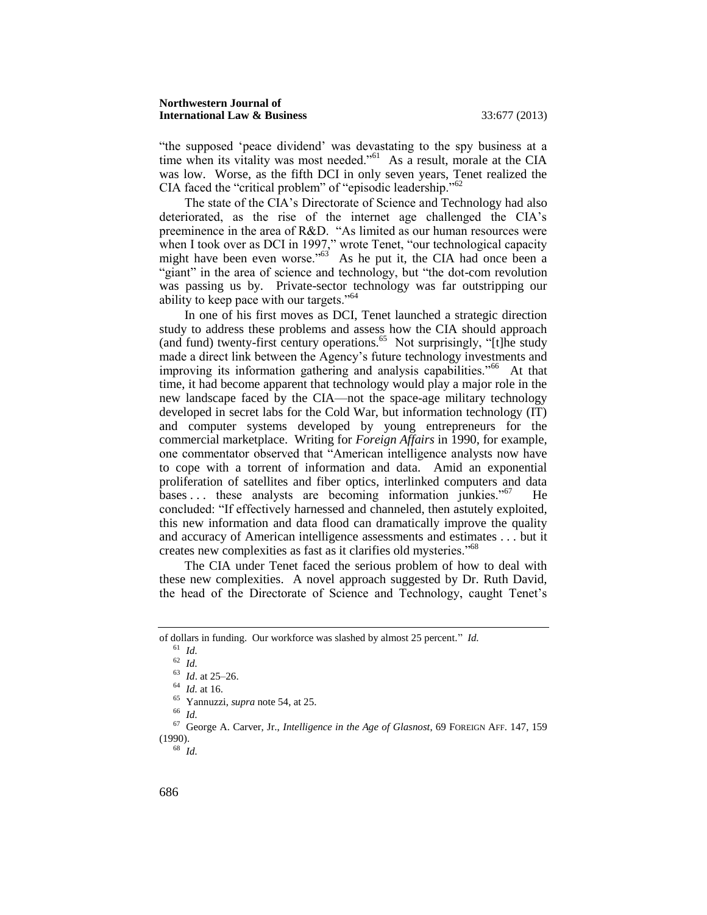"the supposed 'peace dividend' was devastating to the spy business at a time when its vitality was most needed."<sup>61</sup> As a result, morale at the CIA was low. Worse, as the fifth DCI in only seven years, Tenet realized the CIA faced the "critical problem" of "episodic leadership."<sup>62</sup>

The state of the CIA's Directorate of Science and Technology had also deteriorated, as the rise of the internet age challenged the CIA's preeminence in the area of R&D. "As limited as our human resources were when I took over as DCI in 1997," wrote Tenet, "our technological capacity might have been even worse." $63$  As he put it, the CIA had once been a "giant" in the area of science and technology, but "the dot-com revolution was passing us by. Private-sector technology was far outstripping our ability to keep pace with our targets."<sup>64</sup>

In one of his first moves as DCI, Tenet launched a strategic direction study to address these problems and assess how the CIA should approach (and fund) twenty-first century operations.<sup>65</sup> Not surprisingly, "[t]he study made a direct link between the Agency's future technology investments and improving its information gathering and analysis capabilities."<sup>66</sup> At that time, it had become apparent that technology would play a major role in the new landscape faced by the CIA—not the space-age military technology developed in secret labs for the Cold War, but information technology (IT) and computer systems developed by young entrepreneurs for the commercial marketplace. Writing for *Foreign Affairs* in 1990, for example, one commentator observed that "American intelligence analysts now have to cope with a torrent of information and data. Amid an exponential proliferation of satellites and fiber optics, interlinked computers and data bases ... these analysts are becoming information junkies."<sup>67</sup> He concluded: "If effectively harnessed and channeled, then astutely exploited, this new information and data flood can dramatically improve the quality and accuracy of American intelligence assessments and estimates . . . but it creates new complexities as fast as it clarifies old mysteries."<sup>68</sup>

<span id="page-10-0"></span>The CIA under Tenet faced the serious problem of how to deal with these new complexities. A novel approach suggested by Dr. Ruth David, the head of the Directorate of Science and Technology, caught Tenet's

<sup>66</sup> *Id.*

<sup>68</sup> *Id.*

of dollars in funding. Our workforce was slashed by almost 25 percent." *Id*.

 $^{61}$  *Id.* 

<sup>62</sup> *Id.*

<sup>63</sup> *Id*. at 25–26.

<sup>64</sup> *Id.* at 16.

<sup>65</sup> Yannuzzi, *supra* not[e 54,](#page-9-0) at 25.

<sup>67</sup> George A. Carver, Jr., *Intelligence in the Age of Glasnost*, 69 FOREIGN AFF. 147, 159 (1990).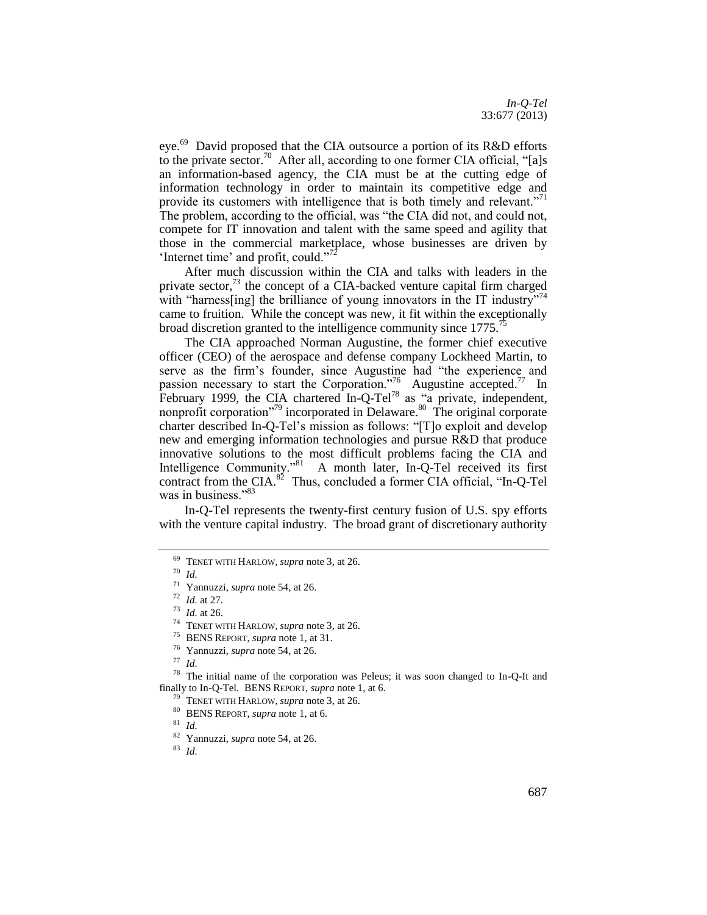eye.<sup>69</sup> David proposed that the CIA outsource a portion of its R&D efforts to the private sector.<sup>70</sup> After all, according to one former CIA official, "[a]s an information-based agency, the CIA must be at the cutting edge of information technology in order to maintain its competitive edge and provide its customers with intelligence that is both timely and relevant."<sup>71</sup> The problem, according to the official, was "the CIA did not, and could not, compete for IT innovation and talent with the same speed and agility that those in the commercial marketplace, whose businesses are driven by 'Internet time' and profit, could."

After much discussion within the CIA and talks with leaders in the private sector, $73$  the concept of a CIA-backed venture capital firm charged with "harness[ing] the brilliance of young innovators in the IT industry"<sup>74</sup> came to fruition. While the concept was new, it fit within the exceptionally broad discretion granted to the intelligence community since 1775.

The CIA approached Norman Augustine, the former chief executive officer (CEO) of the aerospace and defense company Lockheed Martin, to serve as the firm's founder, since Augustine had "the experience and passion necessary to start the Corporation."<sup>76</sup> Augustine accepted.<sup>77</sup> In February 1999, the CIA chartered In-Q-Tel<sup>78</sup> as "a private, independent, nonprofit corporation"<sup>79</sup> incorporated in Delaware.<sup>80</sup> The original corporate charter described In-Q-Tel's mission as follows: "[T]o exploit and develop new and emerging information technologies and pursue R&D that produce innovative solutions to the most difficult problems facing the CIA and Intelligence Community."<sup>81</sup> A month later, In-Q-Tel received its first contract from the CIA. $^{82}$  Thus, concluded a former CIA official, "In-Q-Tel was in business."<sup>83</sup>

In-Q-Tel represents the twenty-first century fusion of U.S. spy efforts with the venture capital industry. The broad grant of discretionary authority

<sup>78</sup> The initial name of the corporation was Peleus; it was soon changed to In-Q-It and finally to In-Q-Tel. BENS REPORT, *supra* not[e 1,](#page-2-1) at 6.

<sup>81</sup> *Id.*

<sup>69</sup> TENET WITH HARLOW, *supra* note [3,](#page-3-0) at 26.

<sup>70</sup> *Id.*

<sup>71</sup> Yannuzzi, *supra* not[e 54,](#page-9-0) at 26.

<sup>72</sup> *Id.* at 27.

<sup>73</sup> *Id.* at 26.

<sup>&</sup>lt;sup>74</sup> TENET WITH HARLOW, *supra* note [3,](#page-3-0) at 26.

<sup>75</sup> BENS REPORT, *supra* not[e 1,](#page-2-1) at 31.

<sup>76</sup> Yannuzzi, *supra* not[e 54,](#page-9-0) at 26.

<sup>77</sup> *Id.*

<sup>79</sup> TENET WITH HARLOW, *supra* note [3,](#page-3-0) at 26.

<sup>80</sup> BENS REPORT, *supra* not[e 1,](#page-2-1) at 6.

<sup>82</sup> Yannuzzi, *supra* not[e 54,](#page-9-0) at 26.

<sup>83</sup> *Id.*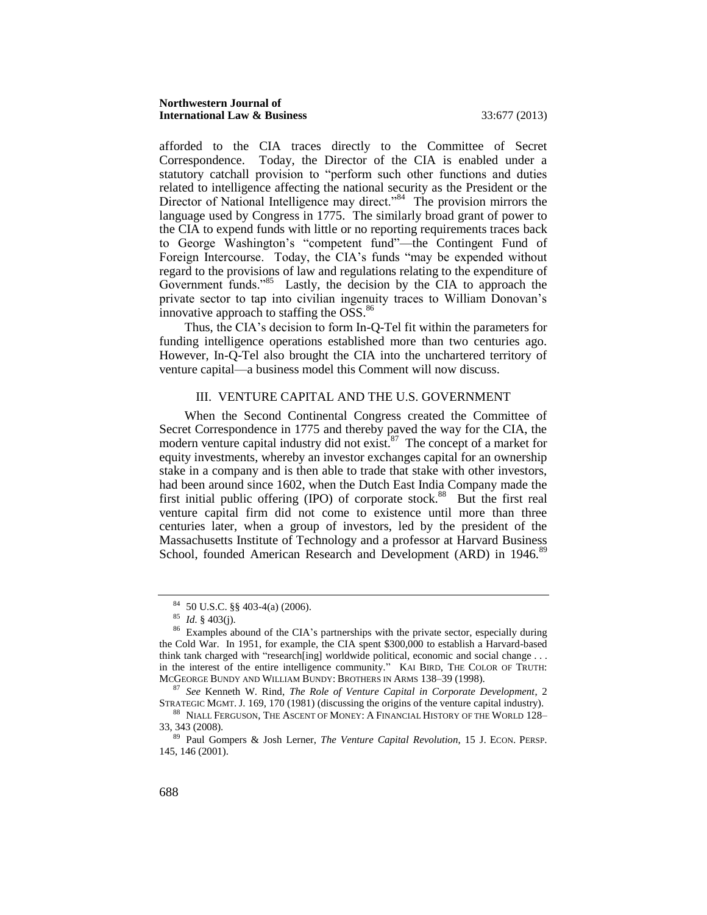afforded to the CIA traces directly to the Committee of Secret Correspondence. Today, the Director of the CIA is enabled under a statutory catchall provision to "perform such other functions and duties related to intelligence affecting the national security as the President or the Director of National Intelligence may direct."<sup>84</sup> The provision mirrors the language used by Congress in 1775. The similarly broad grant of power to the CIA to expend funds with little or no reporting requirements traces back to George Washington's "competent fund"—the Contingent Fund of Foreign Intercourse. Today, the CIA's funds "may be expended without regard to the provisions of law and regulations relating to the expenditure of Government funds."<sup>85</sup> Lastly, the decision by the CIA to approach the private sector to tap into civilian ingenuity traces to William Donovan's innovative approach to staffing the  $OSS$ .<sup>86</sup>

Thus, the CIA's decision to form In-Q-Tel fit within the parameters for funding intelligence operations established more than two centuries ago. However, In-Q-Tel also brought the CIA into the unchartered territory of venture capital—a business model this Comment will now discuss.

#### <span id="page-12-2"></span><span id="page-12-1"></span>III. VENTURE CAPITAL AND THE U.S. GOVERNMENT

<span id="page-12-0"></span>When the Second Continental Congress created the Committee of Secret Correspondence in 1775 and thereby paved the way for the CIA, the modern venture capital industry did not exist.<sup>87</sup> The concept of a market for equity investments, whereby an investor exchanges capital for an ownership stake in a company and is then able to trade that stake with other investors, had been around since 1602, when the Dutch East India Company made the first initial public offering (IPO) of corporate stock.<sup>88</sup> But the first real venture capital firm did not come to existence until more than three centuries later, when a group of investors, led by the president of the Massachusetts Institute of Technology and a professor at Harvard Business School, founded American Research and Development (ARD) in 1946.<sup>89</sup>

<sup>87</sup> *See* Kenneth W. Rind, *The Role of Venture Capital in Corporate Development*, 2 STRATEGIC MGMT. J. 169, 170 (1981) (discussing the origins of the venture capital industry).

<sup>84</sup> 50 U.S.C. §§ 403-4(a) (2006).

<sup>85</sup> *Id.* § 403(j).

<sup>&</sup>lt;sup>86</sup> Examples abound of the CIA's partnerships with the private sector, especially during the Cold War. In 1951, for example, the CIA spent \$300,000 to establish a Harvard-based think tank charged with "research[ing] worldwide political, economic and social change . . . in the interest of the entire intelligence community." KAI BIRD, THE COLOR OF TRUTH: MCGEORGE BUNDY AND WILLIAM BUNDY: BROTHERS IN ARMS 138–39 (1998).

<sup>88</sup> NIALL FERGUSON, THE ASCENT OF MONEY: A FINANCIAL HISTORY OF THE WORLD 128– 33, 343 (2008).

<sup>89</sup> Paul Gompers & Josh Lerner, *The Venture Capital Revolution*, 15 J. ECON. PERSP. 145, 146 (2001).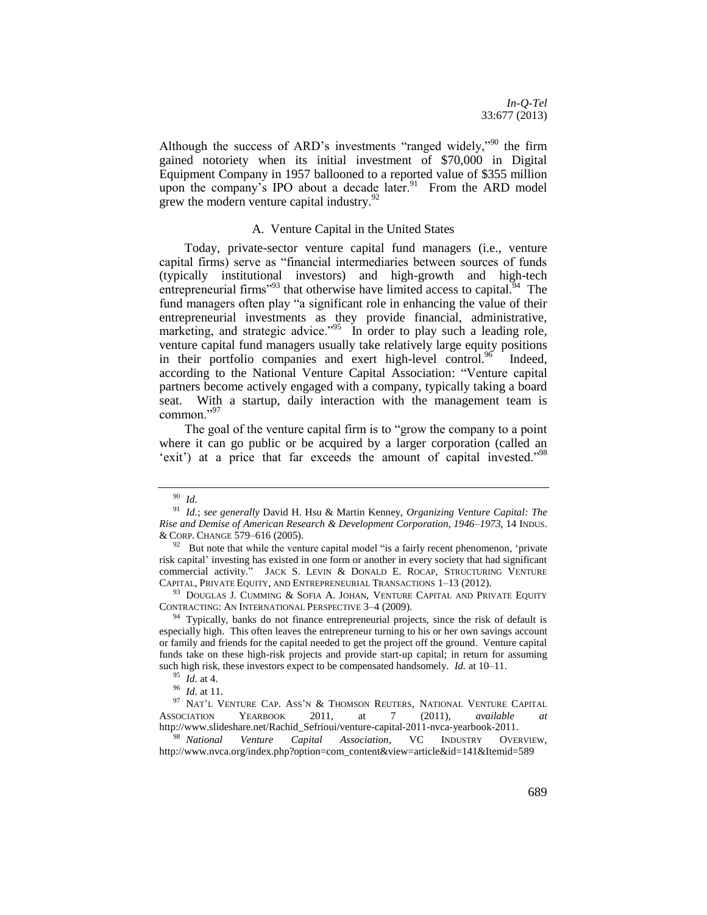Although the success of ARD's investments "ranged widely,"<sup>90</sup> the firm gained notoriety when its initial investment of \$70,000 in Digital Equipment Company in 1957 ballooned to a reported value of \$355 million upon the company's IPO about a decade later.<sup>91</sup> From the ARD model grew the modern venture capital industry.<sup>9</sup>

# <span id="page-13-3"></span><span id="page-13-2"></span><span id="page-13-1"></span>A. Venture Capital in the United States

<span id="page-13-0"></span>Today, private-sector venture capital fund managers (i.e., venture capital firms) serve as "financial intermediaries between sources of funds (typically institutional investors) and high-growth and high-tech entrepreneurial firms"<sup>93</sup> that otherwise have limited access to capital.<sup>94</sup> The fund managers often play "a significant role in enhancing the value of their entrepreneurial investments as they provide financial, administrative, marketing, and strategic advice."<sup>95</sup> In order to play such a leading role, venture capital fund managers usually take relatively large equity positions in their portfolio companies and exert high-level control. $96$  Indeed, according to the National Venture Capital Association: "Venture capital partners become actively engaged with a company, typically taking a board seat. With a startup, daily interaction with the management team is common."97

The goal of the venture capital firm is to "grow the company to a point where it can go public or be acquired by a larger corporation (called an 'exit') at a price that far exceeds the amount of capital invested."<sup>98</sup>

 $93$  DOUGLAS J. CUMMING & SOFIA A. JOHAN, VENTURE CAPITAL AND PRIVATE EQUITY CONTRACTING: AN INTERNATIONAL PERSPECTIVE 3–4 (2009).

<sup>98</sup> *National Venture Capital Association*, VC INDUSTRY OVERVIEW, http://www.nvca.org/index.php?option=com\_content&view=article&id=141&Itemid=589

<sup>90</sup> *Id.*

<sup>91</sup> *Id.*; *see generally* David H. Hsu & Martin Kenney, *Organizing Venture Capital: The Rise and Demise of American Research & Development Corporation, 1946*–*1973*, 14 INDUS. & CORP. CHANGE 579–616 (2005).

 $92$  But note that while the venture capital model "is a fairly recent phenomenon, 'private risk capital' investing has existed in one form or another in every society that had significant commercial activity." JACK S. LEVIN & DONALD E. ROCAP, STRUCTURING VENTURE CAPITAL, PRIVATE EQUITY, AND ENTREPRENEURIAL TRANSACTIONS 1–13 (2012).

 $94$  Typically, banks do not finance entrepreneurial projects, since the risk of default is especially high. This often leaves the entrepreneur turning to his or her own savings account or family and friends for the capital needed to get the project off the ground. Venture capital funds take on these high-risk projects and provide start-up capital; in return for assuming such high risk, these investors expect to be compensated handsomely. *Id.* at 10–11.

<sup>95</sup> *Id.* at 4.

<sup>96</sup> *Id.* at 11.

 $^{97}$  Nat'l Venture Cap. Ass'n & Thomson Reuters, National Venture Capital ASSOCIATION YEARBOOK 2011, at 7 (2011), *available at* http://www.slideshare.net/Rachid\_Sefrioui/venture-capital-2011-nvca-yearbook-2011.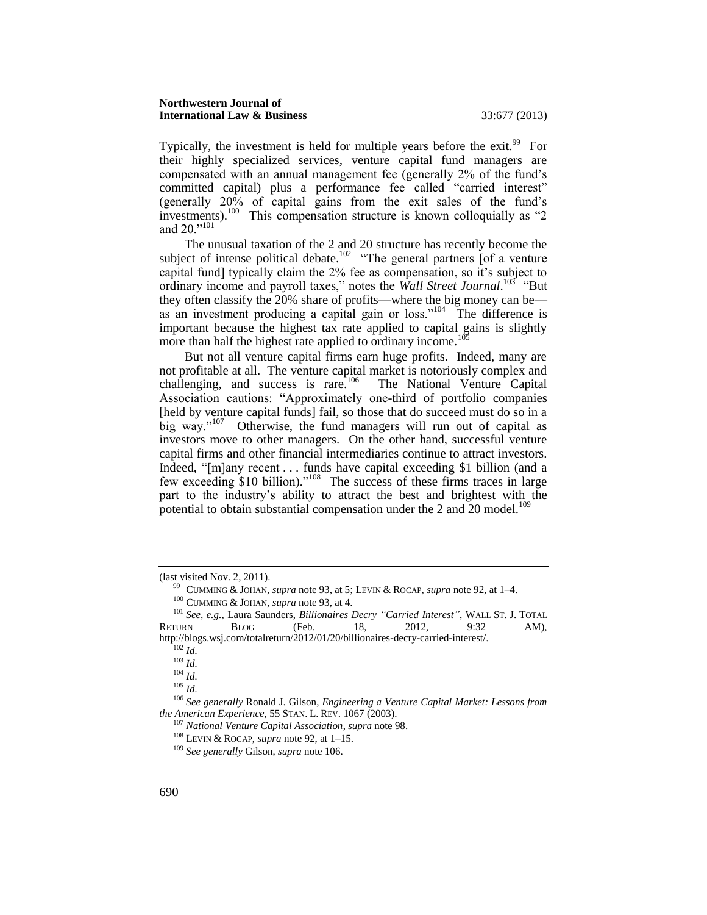Typically, the investment is held for multiple years before the exit.<sup>99</sup> For their highly specialized services, venture capital fund managers are compensated with an annual management fee (generally 2% of the fund's committed capital) plus a performance fee called "carried interest" (generally 20% of capital gains from the exit sales of the fund's investments).<sup>100</sup> This compensation structure is known colloquially as "2 and 20."<sup>101</sup>

The unusual taxation of the 2 and 20 structure has recently become the subject of intense political debate.<sup>102</sup> "The general partners  $\int$  of a venture capital fund] typically claim the 2% fee as compensation, so it's subject to ordinary income and payroll taxes," notes the *Wall Street Journal*.<sup>103</sup> "But they often classify the 20% share of profits—where the big money can be as an investment producing a capital gain or loss."<sup>104</sup> The difference is important because the highest tax rate applied to capital gains is slightly more than half the highest rate applied to ordinary income.<sup>10</sup>

<span id="page-14-0"></span>But not all venture capital firms earn huge profits. Indeed, many are not profitable at all. The venture capital market is notoriously complex and  $challening$ , and success is rare.<sup>106</sup> The National Venture Capital Association cautions: "Approximately one-third of portfolio companies [held by venture capital funds] fail, so those that do succeed must do so in a big way."<sup>107</sup> Otherwise, the fund managers will run out of capital as investors move to other managers. On the other hand, successful venture capital firms and other financial intermediaries continue to attract investors. Indeed, "[m]any recent . . . funds have capital exceeding \$1 billion (and a few exceeding \$10 billion)."<sup>108</sup> The success of these firms traces in large part to the industry's ability to attract the best and brightest with the potential to obtain substantial compensation under the 2 and 20 model.<sup>109</sup>

<sup>(</sup>last visited Nov. 2, 2011).

<sup>99</sup> CUMMING & JOHAN, *supra* not[e 93,](#page-13-1) at 5; LEVIN & ROCAP, *supra* not[e 92,](#page-13-2) at 1–4.

<sup>100</sup> CUMMING & JOHAN, *supra* not[e 93,](#page-13-1) at 4.

<sup>101</sup> *See, e.g.*, Laura Saunders, *Billionaires Decry "Carried Interest"*, WALL ST. J. TOTAL RETURN BLOG (Feb. 18, 2012, 9:32 AM), http://blogs.wsj.com/totalreturn/2012/01/20/billionaires-decry-carried-interest/.

<sup>102</sup> *Id.*

<sup>103</sup> *Id.*

 $104$   $\bar{I}d.$ 

<sup>105</sup> *Id.*

<sup>106</sup> *See generally* Ronald J. Gilson, *Engineering a Venture Capital Market: Lessons from the American Experience*, 55 STAN. L. REV. 1067 (2003).

<sup>107</sup> *National Venture Capital Association*, *supra* note [98.](#page-13-3)

<sup>108</sup> LEVIN & ROCAP, *supra* not[e 92,](#page-13-2) at 1–15.

<sup>109</sup> *See generally* Gilson, *supra* not[e 106.](#page-14-0)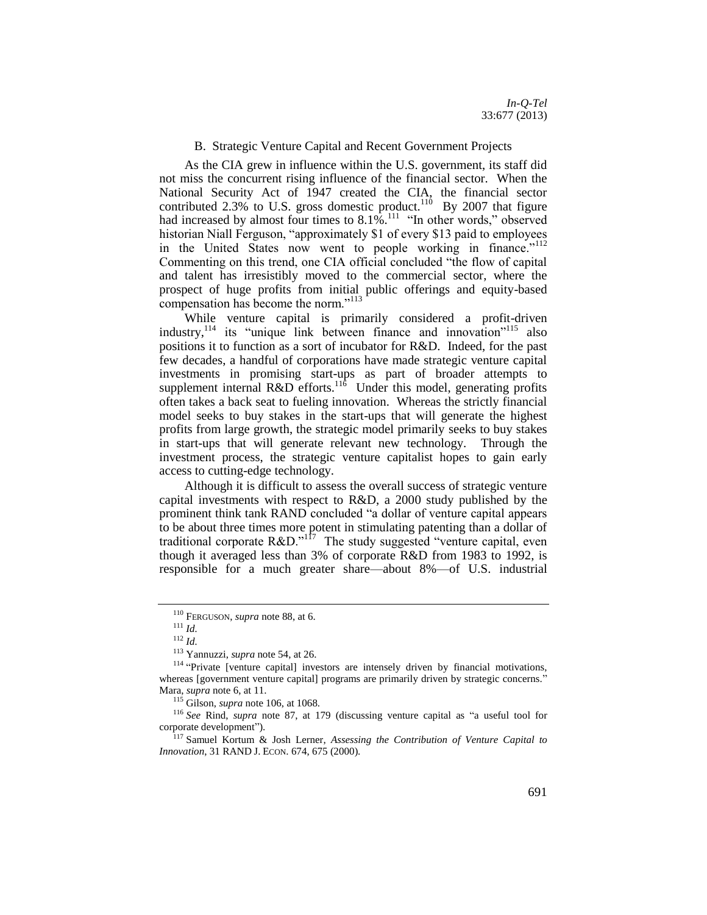*In-Q-Tel* 33:677 (2013)

# B. Strategic Venture Capital and Recent Government Projects

<span id="page-15-0"></span>As the CIA grew in influence within the U.S. government, its staff did not miss the concurrent rising influence of the financial sector. When the National Security Act of 1947 created the CIA, the financial sector contributed 2.3% to U.S. gross domestic product.<sup>110</sup> By 2007 that figure had increased by almost four times to  $8.1\%$ <sup>11</sup> "In other words," observed historian Niall Ferguson, "approximately \$1 of every \$13 paid to employees in the United States now went to people working in finance."<sup>112</sup> Commenting on this trend, one CIA official concluded "the flow of capital and talent has irresistibly moved to the commercial sector, where the prospect of huge profits from initial public offerings and equity-based compensation has become the norm."<sup>113</sup>

While venture capital is primarily considered a profit-driven industry,  $114$  its "unique link between finance and innovation"  $115$  also positions it to function as a sort of incubator for R&D. Indeed, for the past few decades, a handful of corporations have made strategic venture capital investments in promising start-ups as part of broader attempts to supplement internal  $R&D$  efforts.<sup>116</sup> Under this model, generating profits often takes a back seat to fueling innovation. Whereas the strictly financial model seeks to buy stakes in the start-ups that will generate the highest profits from large growth, the strategic model primarily seeks to buy stakes in start-ups that will generate relevant new technology. Through the investment process, the strategic venture capitalist hopes to gain early access to cutting-edge technology.

Although it is difficult to assess the overall success of strategic venture capital investments with respect to R&D, a 2000 study published by the prominent think tank RAND concluded "a dollar of venture capital appears to be about three times more potent in stimulating patenting than a dollar of traditional corporate  $R&D.^{117}$  The study suggested "venture capital, even though it averaged less than 3% of corporate R&D from 1983 to 1992, is responsible for a much greater share—about 8%—of U.S. industrial

<sup>110</sup> FERGUSON, *supra* not[e 88,](#page-12-1) at 6.

<sup>111</sup> *Id.*

<sup>112</sup> *Id.*

<sup>113</sup> Yannuzzi, *supra* not[e 54,](#page-9-0) at 26.

<sup>&</sup>lt;sup>114</sup> "Private [venture capital] investors are intensely driven by financial motivations, whereas [government venture capital] programs are primarily driven by strategic concerns." Mara, *supra* note [6,](#page-3-1) at 11.

<sup>115</sup> Gilson, *supra* not[e 106,](#page-14-0) at 1068.

<sup>116</sup> *See* Rind, *supra* note [87,](#page-12-2) at 179 (discussing venture capital as "a useful tool for corporate development").

<sup>117</sup> Samuel Kortum & Josh Lerner, *Assessing the Contribution of Venture Capital to Innovation*, 31 RAND J. ECON. 674, 675 (2000).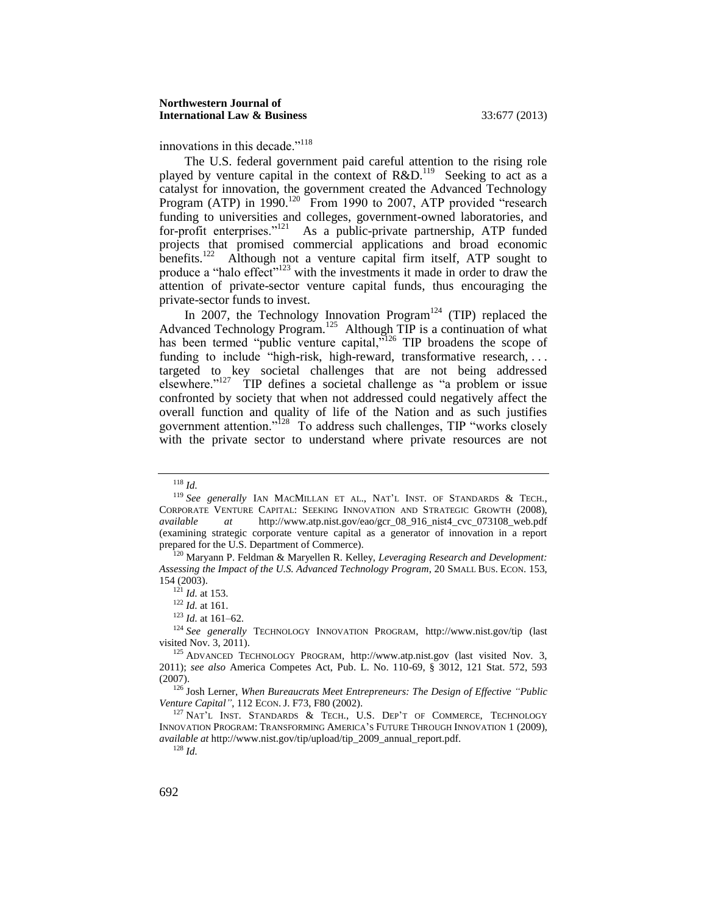innovations in this decade."<sup>118</sup>

<span id="page-16-0"></span>The U.S. federal government paid careful attention to the rising role played by venture capital in the context of  $R&D$ .<sup>119</sup> Seeking to act as a catalyst for innovation, the government created the Advanced Technology Program (ATP) in 1990.<sup>120</sup> From 1990 to 2007, ATP provided "research funding to universities and colleges, government-owned laboratories, and for-profit enterprises."<sup>121</sup> As a public-private partnership, ATP funded projects that promised commercial applications and broad economic benefits.<sup>122</sup> Although not a venture capital firm itself, ATP sought to produce a "halo effect"<sup>123</sup> with the investments it made in order to draw the attention of private-sector venture capital funds, thus encouraging the private-sector funds to invest.

<span id="page-16-1"></span>In 2007, the Technology Innovation Program<sup>124</sup> (TIP) replaced the Advanced Technology Program.<sup>125</sup> Although TIP is a continuation of what has been termed "public venture capital,"<sup>126</sup> TIP broadens the scope of funding to include "high-risk, high-reward, transformative research, ... targeted to key societal challenges that are not being addressed elsewhere."<sup>127</sup> TIP defines a societal challenge as "a problem or issue confronted by society that when not addressed could negatively affect the overall function and quality of life of the Nation and as such justifies government attention."<sup>128</sup> To address such challenges, TIP "works closely with the private sector to understand where private resources are not

<sup>118</sup> *Id.*

<sup>&</sup>lt;sup>119</sup> See generally IAN MACMILLAN ET AL., NAT'L INST. OF STANDARDS & TECH., CORPORATE VENTURE CAPITAL: SEEKING INNOVATION AND STRATEGIC GROWTH (2008), *available at* http://www.atp.nist.gov/eao/gcr\_08\_916\_nist4\_cvc\_073108\_web.pdf (examining strategic corporate venture capital as a generator of innovation in a report prepared for the U.S. Department of Commerce).

<sup>120</sup> Maryann P. Feldman & Maryellen R. Kelley, *Leveraging Research and Development: Assessing the Impact of the U.S. Advanced Technology Program*, 20 SMALL BUS. ECON. 153, 154 (2003).

<sup>121</sup> *Id.* at 153.

<sup>122</sup> *Id.* at 161.

<sup>123</sup> *Id.* at 161–62.

<sup>124</sup> *See generally* TECHNOLOGY INNOVATION PROGRAM, http://www.nist.gov/tip (last visited Nov. 3, 2011).

<sup>125</sup> ADVANCED TECHNOLOGY PROGRAM, http://www.atp.nist.gov (last visited Nov. 3, 2011); *see also* America Competes Act, Pub. L. No. 110-69, § 3012, 121 Stat. 572, 593 (2007).

<sup>126</sup> Josh Lerner, *When Bureaucrats Meet Entrepreneurs: The Design of Effective "Public Venture Capital"*, 112 ECON. J. F73, F80 (2002).

<sup>&</sup>lt;sup>127</sup> NAT'L INST. STANDARDS & TECH., U.S. DEP'T OF COMMERCE, TECHNOLOGY INNOVATION PROGRAM: TRANSFORMING AMERICA'S FUTURE THROUGH INNOVATION 1 (2009), *available at* http://www.nist.gov/tip/upload/tip\_2009\_annual\_report.pdf.

<sup>128</sup> *Id.*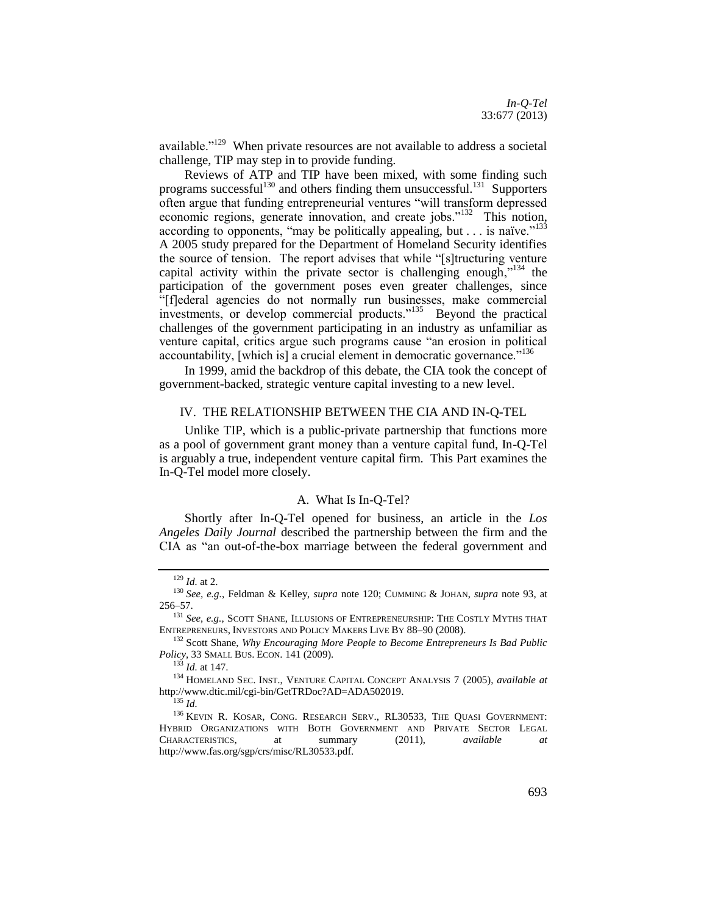<span id="page-17-2"></span>*In-Q-Tel* 33:677 (2013)

available."<sup>129</sup> When private resources are not available to address a societal challenge, TIP may step in to provide funding.

Reviews of ATP and TIP have been mixed, with some finding such programs successful<sup>130</sup> and others finding them unsuccessful.<sup>131</sup> Supporters often argue that funding entrepreneurial ventures "will transform depressed economic regions, generate innovation, and create jobs."<sup>132</sup> This notion, according to opponents, "may be politically appealing, but  $\dots$  is naïve."<sup>133</sup> A 2005 study prepared for the Department of Homeland Security identifies the source of tension. The report advises that while "[s]tructuring venture capital activity within the private sector is challenging enough,"<sup>134</sup> the participation of the government poses even greater challenges, since "[f]ederal agencies do not normally run businesses, make commercial investments, or develop commercial products."<sup>135</sup> Beyond the practical challenges of the government participating in an industry as unfamiliar as venture capital, critics argue such programs cause "an erosion in political accountability, [which is] a crucial element in democratic governance."<sup>136</sup>

<span id="page-17-0"></span>In 1999, amid the backdrop of this debate, the CIA took the concept of government-backed, strategic venture capital investing to a new level.

#### IV. THE RELATIONSHIP BETWEEN THE CIA AND IN-Q-TEL

Unlike TIP, which is a public-private partnership that functions more as a pool of government grant money than a venture capital fund, In-Q-Tel is arguably a true, independent venture capital firm. This Part examines the In-Q-Tel model more closely.

#### A. What Is In-Q-Tel?

<span id="page-17-1"></span>Shortly after In-Q-Tel opened for business, an article in the *Los Angeles Daily Journal* described the partnership between the firm and the CIA as "an out-of-the-box marriage between the federal government and

<sup>129</sup> *Id.* at 2.

<sup>130</sup> *See, e.g.*, Feldman & Kelley, *supra* note [120;](#page-16-0) CUMMING & JOHAN, *supra* note [93,](#page-13-1) at 256–57.

<sup>131</sup> *See*, *e.g.*, SCOTT SHANE, ILLUSIONS OF ENTREPRENEURSHIP: THE COSTLY MYTHS THAT ENTREPRENEURS, INVESTORS AND POLICY MAKERS LIVE BY 88–90 (2008).

<sup>132</sup> Scott Shane, *Why Encouraging More People to Become Entrepreneurs Is Bad Public Policy*, 33 SMALL BUS. ECON. 141 (2009).

<sup>133</sup> *Id.* at 147.

<sup>134</sup> HOMELAND SEC. INST., VENTURE CAPITAL CONCEPT ANALYSIS 7 (2005), *available at* http://www.dtic.mil/cgi-bin/GetTRDoc?AD=ADA502019.

<sup>135</sup> *Id.*

<sup>136</sup> KEVIN R. KOSAR, CONG. RESEARCH SERV., RL30533, THE QUASI GOVERNMENT: HYBRID ORGANIZATIONS WITH BOTH GOVERNMENT AND PRIVATE SECTOR LEGAL CHARACTERISTICS, at summary (2011), *available at* http://www.fas.org/sgp/crs/misc/RL30533.pdf.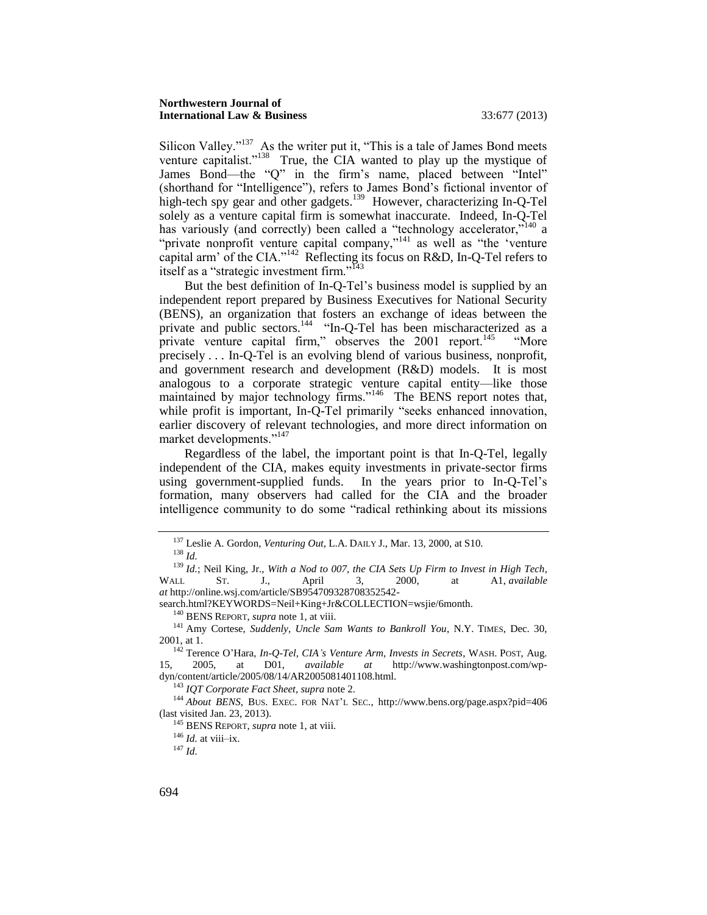<span id="page-18-3"></span><span id="page-18-0"></span>Silicon Valley." $137$  As the writer put it, "This is a tale of James Bond meets venture capitalist."<sup>138</sup> True, the CIA wanted to play up the mystique of James Bond—the "Q" in the firm's name, placed between "Intel" (shorthand for "Intelligence"), refers to James Bond's fictional inventor of high-tech spy gear and other gadgets.<sup>139</sup> However, characterizing In-Q-Tel solely as a venture capital firm is somewhat inaccurate. Indeed, In-Q-Tel has variously (and correctly) been called a "technology accelerator,"<sup>140</sup> a "private nonprofit venture capital company,"<sup>141</sup> as well as "the 'venture capital arm' of the CIA."<sup>142</sup> Reflecting its focus on R&D, In-Q-Tel refers to itself as a "strategic investment firm."<sup>143</sup>

<span id="page-18-2"></span><span id="page-18-1"></span>But the best definition of In-Q-Tel's business model is supplied by an independent report prepared by Business Executives for National Security (BENS), an organization that fosters an exchange of ideas between the private and public sectors.<sup>144</sup> "In-Q-Tel has been mischaracterized as a private venture capital firm," observes the 2001 report.<sup>145</sup> "More precisely . . . In-Q-Tel is an evolving blend of various business, nonprofit, and government research and development (R&D) models. It is most analogous to a corporate strategic venture capital entity—like those maintained by major technology firms."<sup>146</sup> The BENS report notes that, while profit is important, In-Q-Tel primarily "seeks enhanced innovation, earlier discovery of relevant technologies, and more direct information on market developments."<sup>147</sup>

Regardless of the label, the important point is that In-Q-Tel, legally independent of the CIA, makes equity investments in private-sector firms using government-supplied funds. In the years prior to In-Q-Tel's formation, many observers had called for the CIA and the broader intelligence community to do some "radical rethinking about its missions

<sup>143</sup> *IQT Corporate Fact Sheet*, *supra* note [2.](#page-2-2)

<sup>146</sup> *Id.* at viii–ix.

<sup>147</sup> *Id.*

<sup>137</sup> Leslie A. Gordon, *Venturing Out*, L.A. DAILY J., Mar. 13, 2000, at S10.

<sup>138</sup> *Id.*

<sup>139</sup> *Id.*; Neil King, Jr., *With a Nod to 007, the CIA Sets Up Firm to Invest in High Tech*, WALL ST. J., April 3, 2000, at A1, *available at* http://online.wsj.com/article/SB954709328708352542-

search.html?KEYWORDS=Neil+King+Jr&COLLECTION=wsjie/6month.

<sup>140</sup> BENS REPORT, *supra* not[e 1,](#page-2-1) at viii.

<sup>141</sup> Amy Cortese, *Suddenly, Uncle Sam Wants to Bankroll You*, N.Y. TIMES, Dec. 30, 2001, at 1.

<sup>142</sup> Terence O'Hara, *In-Q-Tel, CIA's Venture Arm, Invests in Secrets*, WASH. POST, Aug. 15, 2005, at D01, *available at* http://www.washingtonpost.com/wpdyn/content/article/2005/08/14/AR2005081401108.html.

<sup>&</sup>lt;sup>144</sup> About BENS, BUS. EXEC. FOR NAT'L SEC., http://www.bens.org/page.aspx?pid=406 (last visited Jan. 23, 2013).

<sup>145</sup> BENS REPORT, *supra* not[e 1,](#page-2-1) at viii.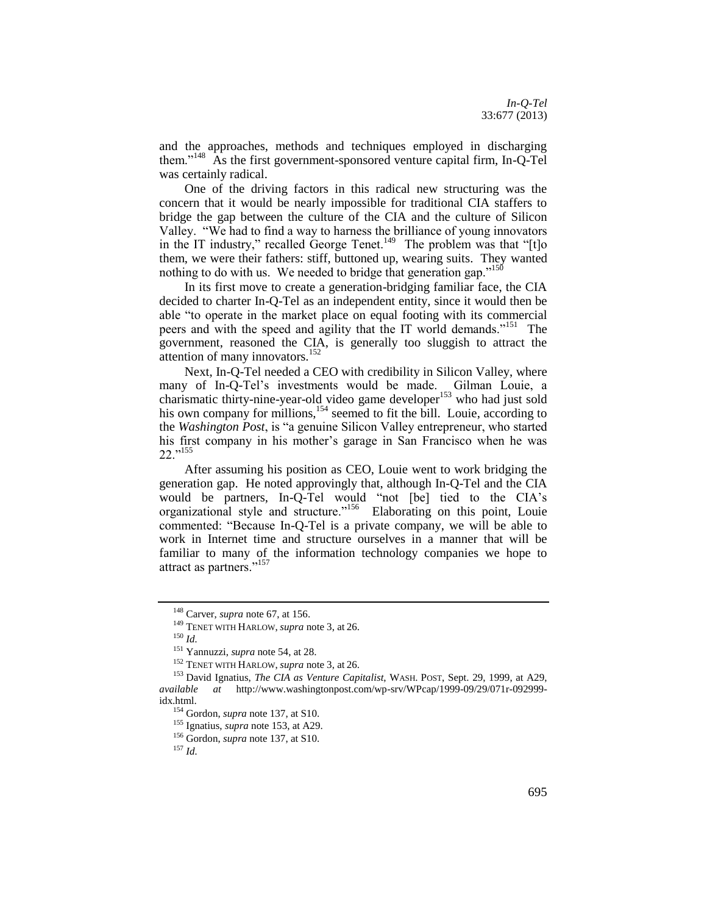and the approaches, methods and techniques employed in discharging them."<sup>148</sup> As the first government-sponsored venture capital firm, In-Q-Tel was certainly radical.

One of the driving factors in this radical new structuring was the concern that it would be nearly impossible for traditional CIA staffers to bridge the gap between the culture of the CIA and the culture of Silicon Valley. "We had to find a way to harness the brilliance of young innovators in the IT industry," recalled George Tenet.<sup>149</sup> The problem was that "[t]o them, we were their fathers: stiff, buttoned up, wearing suits. They wanted nothing to do with us. We needed to bridge that generation gap."<sup>150</sup>

In its first move to create a generation-bridging familiar face, the CIA decided to charter In-Q-Tel as an independent entity, since it would then be able "to operate in the market place on equal footing with its commercial peers and with the speed and agility that the IT world demands."<sup>151</sup> The government, reasoned the CIA, is generally too sluggish to attract the attention of many innovators. $152$ 

<span id="page-19-0"></span>Next, In-Q-Tel needed a CEO with credibility in Silicon Valley, where many of In-Q-Tel's investments would be made. Gilman Louie, a charismatic thirty-nine-year-old video game developer<sup>153</sup> who had just sold his own company for millions,<sup>154</sup> seemed to fit the bill. Louie, according to the *Washington Post*, is "a genuine Silicon Valley entrepreneur, who started his first company in his mother's garage in San Francisco when he was 22."<sup>155</sup>

After assuming his position as CEO, Louie went to work bridging the generation gap. He noted approvingly that, although In-Q-Tel and the CIA would be partners, In-Q-Tel would "not [be] tied to the CIA's organizational style and structure."<sup>156</sup> Elaborating on this point, Louie commented: "Because In-Q-Tel is a private company, we will be able to work in Internet time and structure ourselves in a manner that will be familiar to many of the information technology companies we hope to attract as partners."<sup>157</sup>

<sup>155</sup> Ignatius, *supra* not[e 153,](#page-19-0) at A29.

<sup>156</sup> Gordon, *supra* note [137,](#page-18-0) at S10.

<sup>148</sup> Carver, *supra* not[e 67,](#page-10-0) at 156.

<sup>149</sup> TENET WITH HARLOW, *supra* note [3,](#page-3-0) at 26.

<sup>150</sup> *Id.*

<sup>151</sup> Yannuzzi, *supra* not[e 54,](#page-9-0) at 28.

<sup>152</sup> TENET WITH HARLOW, *supra* note [3,](#page-3-0) at 26.

<sup>153</sup> David Ignatius, *The CIA as Venture Capitalist*, WASH. POST, Sept. 29, 1999, at A29, *available at* http://www.washingtonpost.com/wp-srv/WPcap/1999-09/29/071r-092999 idx.html.

<sup>154</sup> Gordon, *supra* note [137,](#page-18-0) at S10.

<sup>157</sup> *Id.*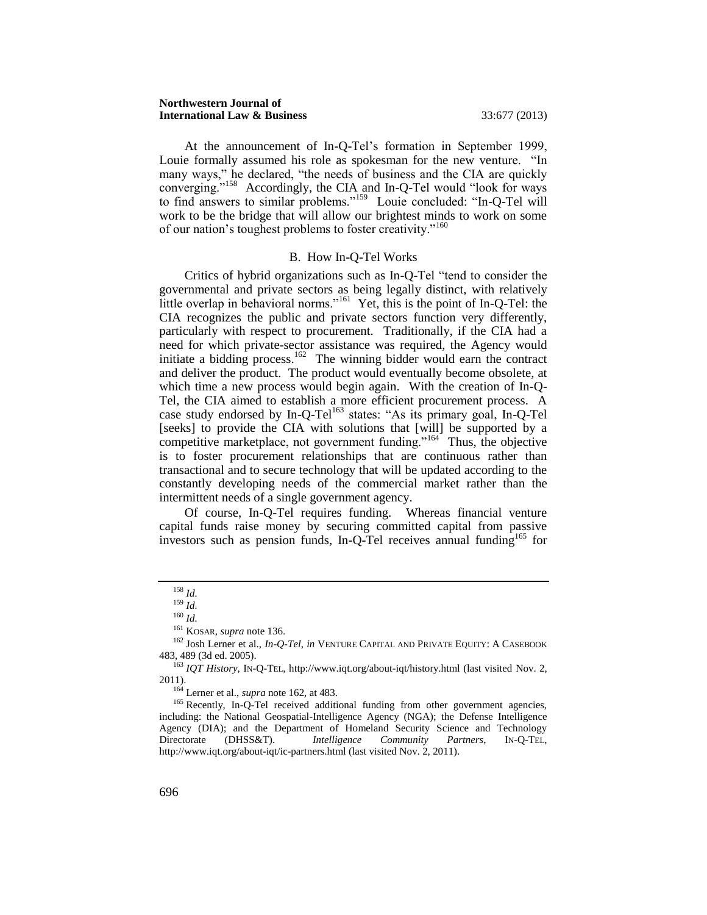#### **Northwestern Journal of International Law & Business** 33:677 (2013)

At the announcement of In-Q-Tel's formation in September 1999, Louie formally assumed his role as spokesman for the new venture. "In many ways," he declared, "the needs of business and the CIA are quickly converging."<sup>158</sup> Accordingly, the CIA and In-Q-Tel would "look for ways to find answers to similar problems."<sup>159</sup> Louie concluded: "In-Q-Tel will work to be the bridge that will allow our brightest minds to work on some of our nation's toughest problems to foster creativity."<sup>160</sup>

#### <span id="page-20-1"></span>B. How In-Q-Tel Works

<span id="page-20-0"></span>Critics of hybrid organizations such as In-Q-Tel "tend to consider the governmental and private sectors as being legally distinct, with relatively little overlap in behavioral norms."<sup>161</sup> Yet, this is the point of In-Q-Tel: the CIA recognizes the public and private sectors function very differently, particularly with respect to procurement. Traditionally, if the CIA had a need for which private-sector assistance was required, the Agency would initiate a bidding process.<sup>162</sup> The winning bidder would earn the contract and deliver the product. The product would eventually become obsolete, at which time a new process would begin again. With the creation of In-Q-Tel, the CIA aimed to establish a more efficient procurement process. A case study endorsed by In-Q-Tel<sup>163</sup> states: "As its primary goal, In-Q-Tel [seeks] to provide the CIA with solutions that [will] be supported by a competitive marketplace, not government funding."<sup>164</sup> Thus, the objective is to foster procurement relationships that are continuous rather than transactional and to secure technology that will be updated according to the constantly developing needs of the commercial market rather than the intermittent needs of a single government agency.

Of course, In-Q-Tel requires funding. Whereas financial venture capital funds raise money by securing committed capital from passive investors such as pension funds, In-O-Tel receives annual funding<sup>165</sup> for

<sup>164</sup> Lerner et al., *supra* note [162,](#page-20-1) at 483.

<sup>165</sup> Recently, In-Q-Tel received additional funding from other government agencies, including: the National Geospatial-Intelligence Agency (NGA); the Defense Intelligence Agency (DIA); and the Department of Homeland Security Science and Technology Directorate (DHSS&T). *Intelligence Community Partners*, IN-Q-TEL, http://www.iqt.org/about-iqt/ic-partners.html (last visited Nov. 2, 2011).

<span id="page-20-2"></span><sup>158</sup> *Id.*

<sup>159</sup> *Id.*

<sup>160</sup> *Id.*

<sup>161</sup> KOSAR, *supra* not[e 136.](#page-17-2)

<sup>162</sup> Josh Lerner et al., *In-Q-Tel*, *in* VENTURE CAPITAL AND PRIVATE EQUITY: A CASEBOOK 483, 489 (3d ed. 2005).

<sup>&</sup>lt;sup>163</sup> *IQT History*, IN-Q-TEL, http://www.iqt.org/about-iqt/history.html (last visited Nov. 2, 2011).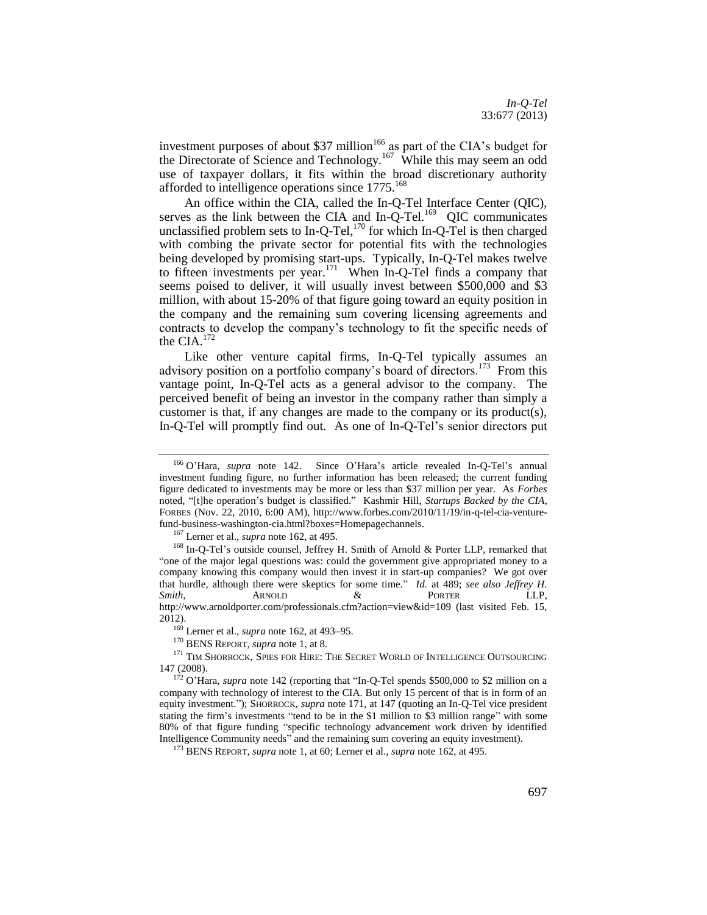<span id="page-21-1"></span>investment purposes of about \$37 million<sup>166</sup> as part of the CIA's budget for the Directorate of Science and Technology.<sup>167</sup> While this may seem an odd use of taxpayer dollars, it fits within the broad discretionary authority afforded to intelligence operations since 1775.<sup>168</sup>

<span id="page-21-0"></span>An office within the CIA, called the In-Q-Tel Interface Center (QIC), serves as the link between the CIA and In- $\overline{Q}$ -Tel.<sup>169</sup> QIC communicates unclassified problem sets to In-Q-Tel,<sup>170</sup> for which In-Q-Tel is then charged with combing the private sector for potential fits with the technologies being developed by promising start-ups. Typically, In-Q-Tel makes twelve to fifteen investments per year.<sup>171</sup> When In-Q-Tel finds a company that seems poised to deliver, it will usually invest between \$500,000 and \$3 million, with about 15-20% of that figure going toward an equity position in the company and the remaining sum covering licensing agreements and contracts to develop the company's technology to fit the specific needs of the CIA. $172$ 

Like other venture capital firms, In-Q-Tel typically assumes an advisory position on a portfolio company's board of directors.<sup>173</sup> From this vantage point, In-Q-Tel acts as a general advisor to the company. The perceived benefit of being an investor in the company rather than simply a customer is that, if any changes are made to the company or its product(s), In-Q-Tel will promptly find out. As one of In-Q-Tel's senior directors put

<sup>169</sup> Lerner et al., *supra* note [162,](#page-20-1) at 493–95.

<sup>170</sup> BENS REPORT, *supra* not[e 1,](#page-2-1) at 8.

<sup>166</sup> O'Hara, *supra* note [142.](#page-18-1) Since O'Hara's article revealed In-Q-Tel's annual investment funding figure, no further information has been released; the current funding figure dedicated to investments may be more or less than \$37 million per year. As *Forbes* noted, "[t]he operation's budget is classified." Kashmir Hill, *Startups Backed by the CIA*, FORBES (Nov. 22, 2010, 6:00 AM), http://www.forbes.com/2010/11/19/in-q-tel-cia-venturefund-business-washington-cia.html?boxes=Homepagechannels.

<sup>167</sup> Lerner et al., *supra* note [162,](#page-20-1) at 495.

<sup>&</sup>lt;sup>168</sup> In-O-Tel's outside counsel, Jeffrey H. Smith of Arnold & Porter LLP, remarked that "one of the major legal questions was: could the government give appropriated money to a company knowing this company would then invest it in start-up companies? We got over that hurdle, although there were skeptics for some time." *Id.* at 489; *see also Jeffrey H. Smith*, ARNOLD & PORTER LLP, http://www.arnoldporter.com/professionals.cfm?action=view&id=109 (last visited Feb. 15, 2012).

<sup>&</sup>lt;sup>171</sup> TIM SHORROCK, SPIES FOR HIRE: THE SECRET WORLD OF INTELLIGENCE OUTSOURCING 147 (2008).

<sup>&</sup>lt;sup>172</sup> O'Hara, *supra* not[e 142](#page-18-1) (reporting that "In-Q-Tel spends \$500,000 to \$2 million on a company with technology of interest to the CIA. But only 15 percent of that is in form of an equity investment."); SHORROCK, *supra* note [171,](#page-21-0) at 147 (quoting an In-Q-Tel vice president stating the firm's investments "tend to be in the \$1 million to \$3 million range" with some 80% of that figure funding "specific technology advancement work driven by identified Intelligence Community needs" and the remaining sum covering an equity investment).

<sup>173</sup> BENS REPORT, *supra* not[e 1,](#page-2-1) at 60; Lerner et al., *supra* not[e 162,](#page-20-1) at 495.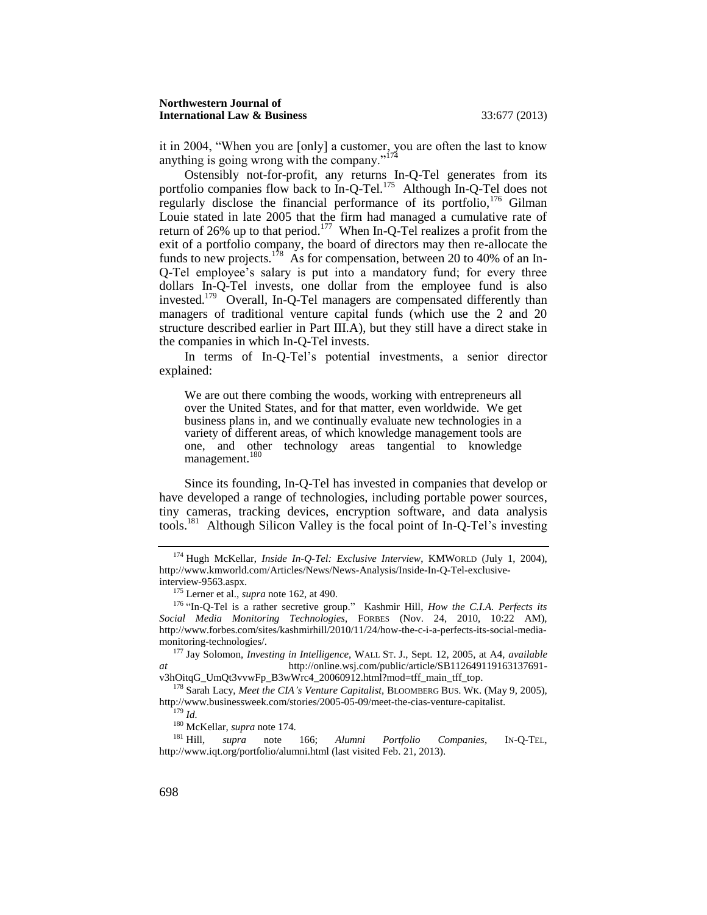<span id="page-22-0"></span>it in 2004, "When you are [only] a customer, you are often the last to know anything is going wrong with the company." $17$ 

<span id="page-22-3"></span><span id="page-22-2"></span>Ostensibly not-for-profit, any returns In-Q-Tel generates from its portfolio companies flow back to In-Q-Tel.<sup>175</sup> Although In-Q-Tel does not regularly disclose the financial performance of its portfolio,  $176$  Gilman Louie stated in late 2005 that the firm had managed a cumulative rate of return of 26% up to that period.<sup>177</sup> When In-Q-Tel realizes a profit from the exit of a portfolio company, the board of directors may then re-allocate the funds to new projects.<sup>178</sup> As for compensation, between 20 to 40% of an In-Q-Tel employee's salary is put into a mandatory fund; for every three dollars In-Q-Tel invests, one dollar from the employee fund is also invested.<sup>179</sup> Overall, In-Q-Tel managers are compensated differently than managers of traditional venture capital funds (which use the 2 and 20 structure described earlier in Part III.A), but they still have a direct stake in the companies in which In-Q-Tel invests.

<span id="page-22-1"></span>In terms of In-Q-Tel's potential investments, a senior director explained:

We are out there combing the woods, working with entrepreneurs all over the United States, and for that matter, even worldwide. We get business plans in, and we continually evaluate new technologies in a variety of different areas, of which knowledge management tools are one, and other technology areas tangential to knowledge management.<sup>180</sup>

Since its founding, In-Q-Tel has invested in companies that develop or have developed a range of technologies, including portable power sources, tiny cameras, tracking devices, encryption software, and data analysis tools.<sup>181</sup> Although Silicon Valley is the focal point of In-Q-Tel's investing

<sup>174</sup> Hugh McKellar, *Inside In-Q-Tel: Exclusive Interview*, KMWORLD (July 1, 2004), http://www.kmworld.com/Articles/News/News-Analysis/Inside-In-Q-Tel-exclusiveinterview-9563.aspx.

<sup>175</sup> Lerner et al., *supra* note [162,](#page-20-1) at 490.

<sup>176</sup> "In-Q-Tel is a rather secretive group." Kashmir Hill, *How the C.I.A. Perfects its Social Media Monitoring Technologies*, FORBES (Nov. 24, 2010, 10:22 AM), http://www.forbes.com/sites/kashmirhill/2010/11/24/how-the-c-i-a-perfects-its-social-mediamonitoring-technologies/.

<sup>177</sup> Jay Solomon, *Investing in Intelligence*, WALL ST. J., Sept. 12, 2005, at A4, *available at* http://online.wsj.com/public/article/SB112649119163137691 v3hOitqG\_UmQt3vvwFp\_B3wWrc4\_20060912.html?mod=tff\_main\_tff\_top.

<sup>178</sup> Sarah Lacy, *Meet the CIA's Venture Capitalist*, BLOOMBERG BUS. WK. (May 9, 2005), http://www.businessweek.com/stories/2005-05-09/meet-the-cias-venture-capitalist.

<sup>179</sup> *Id.*

<sup>&</sup>lt;sup>180</sup> McKellar, *supra* not[e 174.](#page-22-0)<br><sup>181</sup> Hill. *supra* note

<sup>181</sup> Hill, *supra* note [166;](#page-21-1) *Alumni Portfolio Companies*, IN-Q-TEL, http://www.iqt.org/portfolio/alumni.html (last visited Feb. 21, 2013).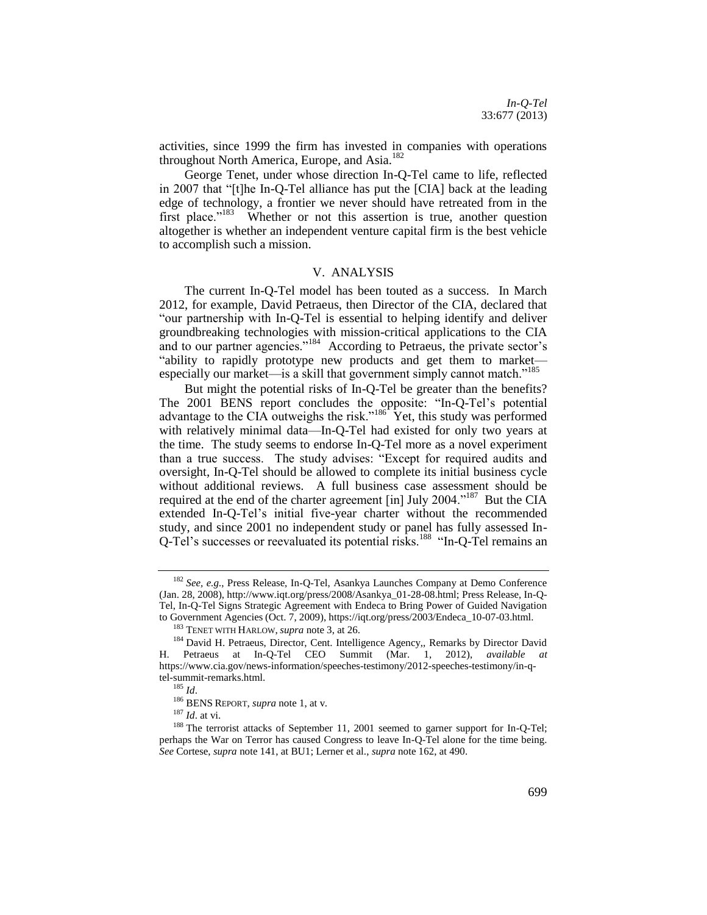activities, since 1999 the firm has invested in companies with operations throughout North America, Europe, and Asia.<sup>182</sup>

George Tenet, under whose direction In-Q-Tel came to life, reflected in 2007 that "[t]he In-Q-Tel alliance has put the [CIA] back at the leading edge of technology, a frontier we never should have retreated from in the first place."<sup>183</sup> Whether or not this assertion is true, another question altogether is whether an independent venture capital firm is the best vehicle to accomplish such a mission.

#### <span id="page-23-1"></span>V. ANALYSIS

<span id="page-23-0"></span>The current In-Q-Tel model has been touted as a success. In March 2012, for example, David Petraeus, then Director of the CIA, declared that "our partnership with In-Q-Tel is essential to helping identify and deliver groundbreaking technologies with mission-critical applications to the CIA and to our partner agencies."<sup>184</sup> According to Petraeus, the private sector's "ability to rapidly prototype new products and get them to market especially our market—is a skill that government simply cannot match."<sup>185</sup>

But might the potential risks of In-Q-Tel be greater than the benefits? The 2001 BENS report concludes the opposite: "In-Q-Tel's potential advantage to the CIA outweighs the risk."<sup>186</sup> Yet, this study was performed with relatively minimal data—In-Q-Tel had existed for only two years at the time. The study seems to endorse In-Q-Tel more as a novel experiment than a true success. The study advises: "Except for required audits and oversight, In-Q-Tel should be allowed to complete its initial business cycle without additional reviews. A full business case assessment should be required at the end of the charter agreement [in] July 2004."<sup>187</sup> But the CIA extended In-Q-Tel's initial five-year charter without the recommended study, and since 2001 no independent study or panel has fully assessed In-Q-Tel's successes or reevaluated its potential risks.<sup>188</sup> "In-Q-Tel remains an

<sup>182</sup> *See, e.g.*, Press Release, In-Q-Tel, Asankya Launches Company at Demo Conference (Jan. 28, 2008), http://www.iqt.org/press/2008/Asankya\_01-28-08.html; Press Release, In-Q-Tel, In-Q-Tel Signs Strategic Agreement with Endeca to Bring Power of Guided Navigation to Government Agencies (Oct. 7, 2009), https://iqt.org/press/2003/Endeca\_10-07-03.html.

<sup>183</sup> TENET WITH HARLOW, *supra* note [3,](#page-3-0) at 26.

<sup>&</sup>lt;sup>184</sup> David H. Petraeus, Director, Cent. Intelligence Agency,, Remarks by Director David H. Petraeus at In-Q-Tel CEO Summit (Mar. 1, 2012), *available at* https://www.cia.gov/news-information/speeches-testimony/2012-speeches-testimony/in-qtel-summit-remarks.html.

<sup>185</sup> *Id*.

<sup>186</sup> BENS REPORT, *supra* not[e 1,](#page-2-1) at v.

<sup>187</sup> *Id*. at vi.

<sup>&</sup>lt;sup>188</sup> The terrorist attacks of September 11, 2001 seemed to garner support for In-Q-Tel; perhaps the War on Terror has caused Congress to leave In-Q-Tel alone for the time being. *See* Cortese, *supra* not[e 141,](#page-18-2) at BU1; Lerner et al., *supra* not[e 162,](#page-20-1) at 490.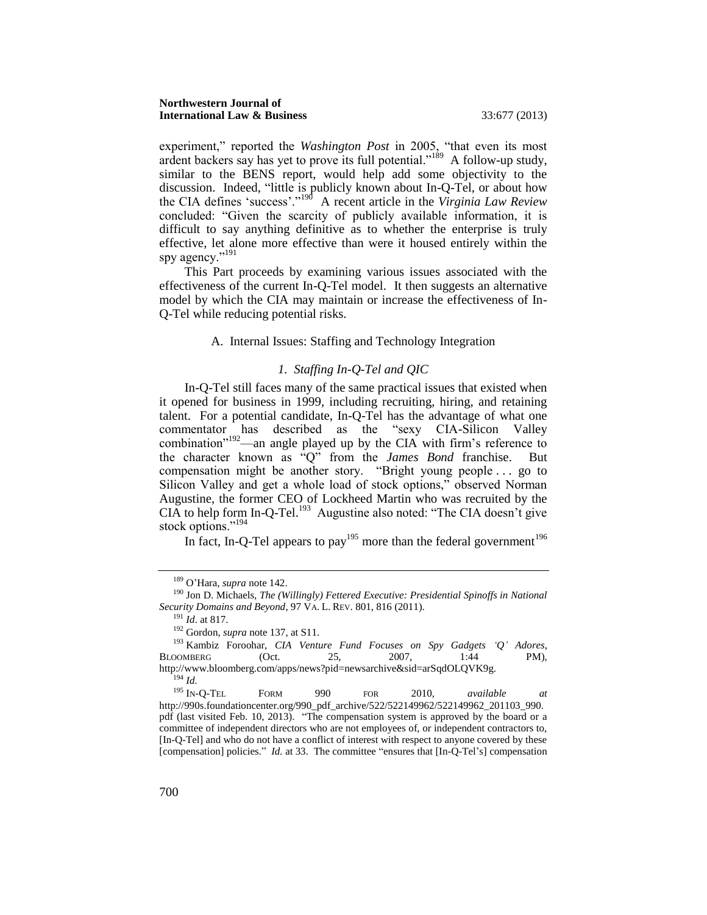#### **Northwestern Journal of International Law & Business** 33:677 (2013)

experiment," reported the *Washington Post* in 2005, "that even its most ardent backers say has yet to prove its full potential."<sup>189</sup> A follow-up study, similar to the BENS report, would help add some objectivity to the discussion. Indeed, "little is publicly known about In-Q-Tel, or about how the CIA defines 'success'."<sup>190</sup> A recent article in the *Virginia Law Review* concluded: "Given the scarcity of publicly available information, it is difficult to say anything definitive as to whether the enterprise is truly effective, let alone more effective than were it housed entirely within the spy agency."<sup>191</sup>

<span id="page-24-0"></span>This Part proceeds by examining various issues associated with the effectiveness of the current In-Q-Tel model. It then suggests an alternative model by which the CIA may maintain or increase the effectiveness of In-Q-Tel while reducing potential risks.

#### A. Internal Issues: Staffing and Technology Integration

# *1. Staffing In-Q-Tel and QIC*

<span id="page-24-1"></span>In-Q-Tel still faces many of the same practical issues that existed when it opened for business in 1999, including recruiting, hiring, and retaining talent. For a potential candidate, In-Q-Tel has the advantage of what one commentator has described as the "sexy CIA-Silicon Valley combination $192$ —an angle played up by the CIA with firm's reference to the character known as "Q" from the *James Bond* franchise. But compensation might be another story. "Bright young people . . . go to Silicon Valley and get a whole load of stock options," observed Norman Augustine, the former CEO of Lockheed Martin who was recruited by the CIA to help form In-Q-Tel.<sup>193</sup> Augustine also noted: "The CIA doesn't give stock options."<sup>194</sup>

<span id="page-24-2"></span>In fact, In-Q-Tel appears to pay<sup>195</sup> more than the federal government<sup>196</sup>

<sup>191</sup> *Id*. at 817.

<sup>189</sup> O'Hara, *supra* not[e 142.](#page-18-1)

<sup>190</sup> Jon D. Michaels, *The (Willingly) Fettered Executive: Presidential Spinoffs in National Security Domains and Beyond*, 97 VA. L. REV. 801, 816 (2011).

<sup>192</sup> Gordon, *supra* note [137,](#page-18-0) at S11.

<sup>193</sup> Kambiz Foroohar, *CIA Venture Fund Focuses on Spy Gadgets 'Q' Adores*, BLOOMBERG (Oct. 25, 2007, 1:44 PM), http://www.bloomberg.com/apps/news?pid=newsarchive&sid=arSqdOLQVK9g.  $I^{194}$  *Id.* 

<sup>195</sup> IN-Q-TEL FORM 990 FOR 2010, *available at* http://990s.foundationcenter.org/990\_pdf\_archive/522/522149962/522149962\_201103\_990. pdf (last visited Feb. 10, 2013). "The compensation system is approved by the board or a committee of independent directors who are not employees of, or independent contractors to, [In-Q-Tel] and who do not have a conflict of interest with respect to anyone covered by these [compensation] policies." *Id.* at 33. The committee "ensures that [In-Q-Tel's] compensation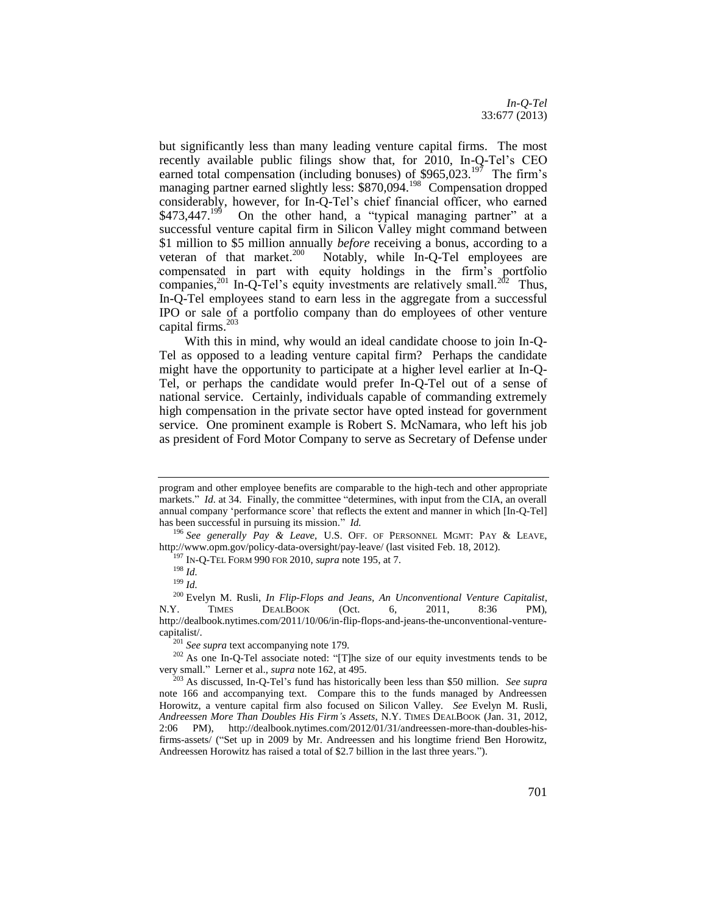*In-Q-Tel* 33:677 (2013)

but significantly less than many leading venture capital firms. The most recently available public filings show that, for 2010, In-Q-Tel's CEO earned total compensation (including bonuses) of  $$965,023$ .<sup>197</sup> The firm's managing partner earned slightly less: \$870,094.<sup>198</sup> Compensation dropped considerably, however, for In-Q-Tel's chief financial officer, who earned  $$473,447.<sup>199</sup>$  On the other hand, a "typical managing partner" at a successful venture capital firm in Silicon Valley might command between \$1 million to \$5 million annually *before* receiving a bonus, according to a veteran of that market.<sup>200</sup> Notably, while  $\overline{In}$ -Q-Tel employees are compensated in part with equity holdings in the firm's portfolio companies,<sup>201</sup> In-Q-Tel's equity investments are relatively small.<sup>202</sup> Thus, In-Q-Tel employees stand to earn less in the aggregate from a successful IPO or sale of a portfolio company than do employees of other venture capital firms.<sup>203</sup>

With this in mind, why would an ideal candidate choose to join In-Q-Tel as opposed to a leading venture capital firm? Perhaps the candidate might have the opportunity to participate at a higher level earlier at In-Q-Tel, or perhaps the candidate would prefer In-Q-Tel out of a sense of national service. Certainly, individuals capable of commanding extremely high compensation in the private sector have opted instead for government service. One prominent example is Robert S. McNamara, who left his job as president of Ford Motor Company to serve as Secretary of Defense under

program and other employee benefits are comparable to the high-tech and other appropriate markets." *Id.* at 34. Finally, the committee "determines, with input from the CIA, an overall annual company 'performance score' that reflects the extent and manner in which [In-Q-Tel] has been successful in pursuing its mission." *Id.*

<sup>196</sup> *See generally Pay & Leave,* U.S. OFF. OF PERSONNEL MGMT: PAY & LEAVE, http://www.opm.gov/policy-data-oversight/pay-leave/ (last visited Feb. 18, 2012).

<sup>197</sup> IN-Q-TEL FORM 990 FOR 2010, *supra* note [195,](#page-24-2) at 7.

<sup>198</sup> *Id.*

<sup>199</sup> *Id.*

<sup>200</sup> Evelyn M. Rusli, *In Flip-Flops and Jeans, An Unconventional Venture Capitalist*, N.Y. TIMES DEALBOOK (Oct. 6, 2011, 8:36 PM), http://dealbook.nytimes.com/2011/10/06/in-flip-flops-and-jeans-the-unconventional-venturecapitalist/.

<sup>201</sup> *See supra* text accompanying note [179.](#page-22-1)

<sup>&</sup>lt;sup>202</sup> As one In-Q-Tel associate noted: "[T]he size of our equity investments tends to be very small." Lerner et al., *supra* not[e 162,](#page-20-1) at 495.

<sup>203</sup> As discussed, In-Q-Tel's fund has historically been less than \$50 million. *See supra*  note [166](#page-21-1) and accompanying text. Compare this to the funds managed by Andreessen Horowitz, a venture capital firm also focused on Silicon Valley. *See* Evelyn M. Rusli, *Andreessen More Than Doubles His Firm's Assets*, N.Y. TIMES DEALBOOK (Jan. 31, 2012, 2:06 PM), http://dealbook.nytimes.com/2012/01/31/andreessen-more-than-doubles-hisfirms-assets/ ("Set up in 2009 by Mr. Andreessen and his longtime friend Ben Horowitz, Andreessen Horowitz has raised a total of \$2.7 billion in the last three years.").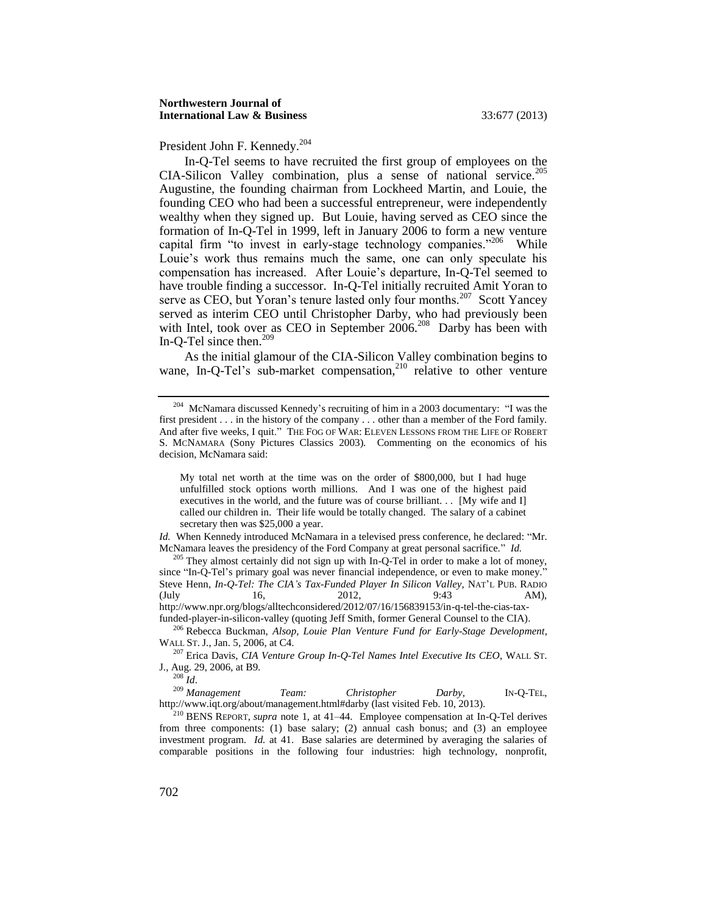President John F. Kennedy.<sup>204</sup>

In-Q-Tel seems to have recruited the first group of employees on the CIA-Silicon Valley combination, plus a sense of national service.<sup>205</sup> Augustine, the founding chairman from Lockheed Martin, and Louie, the founding CEO who had been a successful entrepreneur, were independently wealthy when they signed up. But Louie, having served as CEO since the formation of In-Q-Tel in 1999, left in January 2006 to form a new venture capital firm "to invest in early-stage technology companies."<sup>206</sup> While Louie's work thus remains much the same, one can only speculate his compensation has increased. After Louie's departure, In-Q-Tel seemed to have trouble finding a successor. In-Q-Tel initially recruited Amit Yoran to serve as CEO, but Yoran's tenure lasted only four months.<sup>207</sup> Scott Yancey served as interim CEO until Christopher Darby, who had previously been with Intel, took over as CEO in September 2006.<sup>208</sup> Darby has been with In-Q-Tel since then.<sup>209</sup>

As the initial glamour of the CIA-Silicon Valley combination begins to wane, In-O-Tel's sub-market compensation,  $2^{10}$  relative to other venture

My total net worth at the time was on the order of \$800,000, but I had huge unfulfilled stock options worth millions. And I was one of the highest paid executives in the world, and the future was of course brilliant. . . [My wife and I] called our children in. Their life would be totally changed. The salary of a cabinet secretary then was \$25,000 a year.

*Id.* When Kennedy introduced McNamara in a televised press conference, he declared: "Mr. McNamara leaves the presidency of the Ford Company at great personal sacrifice." *Id.*

 $205$  They almost certainly did not sign up with In-Q-Tel in order to make a lot of money, since "In-Q-Tel's primary goal was never financial independence, or even to make money." Steve Henn, *In-Q-Tel: The CIA's Tax-Funded Player In Silicon Valley*, NAT'L PUB. RADIO (July 16, 2012, 9:43 AM), http://www.npr.org/blogs/alltechconsidered/2012/07/16/156839153/in-q-tel-the-cias-taxfunded-player-in-silicon-valley (quoting Jeff Smith, former General Counsel to the CIA).

<sup>206</sup> Rebecca Buckman, *Alsop, Louie Plan Venture Fund for Early-Stage Development*, WALL ST. J., Jan. 5, 2006, at C4.

<sup>207</sup> Erica Davis, *CIA Venture Group In-Q-Tel Names Intel Executive Its CEO*, WALL ST. J., Aug. 29, 2006, at B9.

<sup>208</sup> *Id*.

<sup>209</sup> *Management Team: Christopher Darby*, IN-Q-TEL, http://www.iqt.org/about/management.html#darby (last visited Feb. 10, 2013).

<sup>210</sup> BENS REPORT, *supra* note [1,](#page-2-1) at 41–44. Employee compensation at In-Q-Tel derives from three components: (1) base salary; (2) annual cash bonus; and (3) an employee investment program. *Id.* at 41. Base salaries are determined by averaging the salaries of comparable positions in the following four industries: high technology, nonprofit,

 $204$  McNamara discussed Kennedy's recruiting of him in a 2003 documentary: "I was the first president . . . in the history of the company . . . other than a member of the Ford family. And after five weeks, I quit." THE FOG OF WAR: ELEVEN LESSONS FROM THE LIFE OF ROBERT S. MCNAMARA (Sony Pictures Classics 2003). Commenting on the economics of his decision, McNamara said: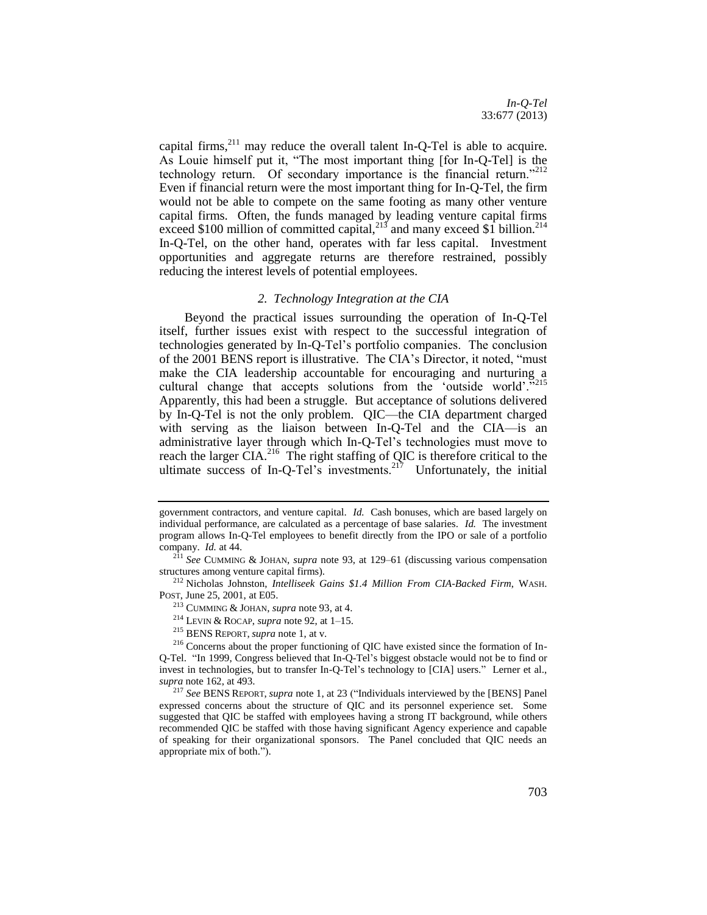capital firms, $^{211}$  may reduce the overall talent In-Q-Tel is able to acquire. As Louie himself put it, "The most important thing [for In-Q-Tel] is the technology return. Of secondary importance is the financial return."<sup>212</sup> Even if financial return were the most important thing for In-Q-Tel, the firm would not be able to compete on the same footing as many other venture capital firms. Often, the funds managed by leading venture capital firms exceed \$100 million of committed capital,<sup>213</sup> and many exceed \$1 billion.<sup>214</sup> In-Q-Tel, on the other hand, operates with far less capital. Investment opportunities and aggregate returns are therefore restrained, possibly reducing the interest levels of potential employees.

#### *2. Technology Integration at the CIA*

<span id="page-27-0"></span>Beyond the practical issues surrounding the operation of In-Q-Tel itself, further issues exist with respect to the successful integration of technologies generated by In-Q-Tel's portfolio companies. The conclusion of the 2001 BENS report is illustrative. The CIA's Director, it noted, "must make the CIA leadership accountable for encouraging and nurturing a cultural change that accepts solutions from the 'outside world'."<sup>215</sup> Apparently, this had been a struggle. But acceptance of solutions delivered by In-Q-Tel is not the only problem. QIC—the CIA department charged with serving as the liaison between In-Q-Tel and the CIA—is an administrative layer through which In-Q-Tel's technologies must move to reach the larger  $\text{CIA.}^{216}$  The right staffing of QIC is therefore critical to the ultimate success of In-Q-Tel's investments.<sup>217</sup> Unfortunately, the initial

<sup>212</sup> Nicholas Johnston, *Intelliseek Gains \$1.4 Million From CIA-Backed Firm*, WASH. POST, June 25, 2001, at E05.

government contractors, and venture capital. *Id.* Cash bonuses, which are based largely on individual performance, are calculated as a percentage of base salaries. *Id.* The investment program allows In-Q-Tel employees to benefit directly from the IPO or sale of a portfolio company. *Id.* at 44.

<sup>211</sup> *See* CUMMING & JOHAN, *supra* note [93,](#page-13-1) at 129–61 (discussing various compensation structures among venture capital firms).

<sup>213</sup> CUMMING & JOHAN, *supra* not[e 93,](#page-13-1) at 4.

<sup>214</sup> LEVIN & ROCAP, *supra* not[e 92,](#page-13-2) at 1–15.

<sup>215</sup> BENS REPORT, *supra* not[e 1,](#page-2-1) at v.

<sup>216</sup> Concerns about the proper functioning of QIC have existed since the formation of In-Q-Tel. "In 1999, Congress believed that In-Q-Tel's biggest obstacle would not be to find or invest in technologies, but to transfer In-Q-Tel's technology to [CIA] users." Lerner et al., *supra* not[e 162,](#page-20-1) at 493.

<sup>217</sup> *See* BENS REPORT, *supra* note [1,](#page-2-1) at 23 ("Individuals interviewed by the [BENS] Panel expressed concerns about the structure of QIC and its personnel experience set. Some suggested that QIC be staffed with employees having a strong IT background, while others recommended QIC be staffed with those having significant Agency experience and capable of speaking for their organizational sponsors. The Panel concluded that QIC needs an appropriate mix of both.").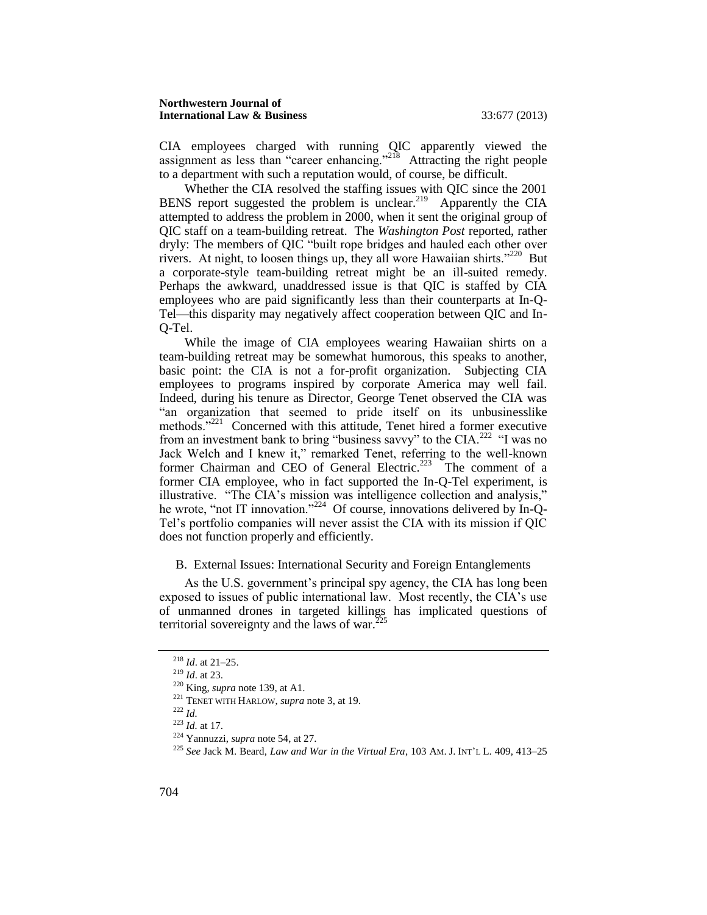#### **Northwestern Journal of International Law & Business** 33:677 (2013)

CIA employees charged with running QIC apparently viewed the assignment as less than "career enhancing."<sup>218</sup> Attracting the right people to a department with such a reputation would, of course, be difficult.

Whether the CIA resolved the staffing issues with QIC since the 2001 BENS report suggested the problem is unclear.<sup>219</sup> Apparently the CIA attempted to address the problem in 2000, when it sent the original group of QIC staff on a team-building retreat. The *Washington Post* reported, rather dryly: The members of QIC "built rope bridges and hauled each other over rivers. At night, to loosen things up, they all wore Hawaiian shirts."<sup>220</sup> But a corporate-style team-building retreat might be an ill-suited remedy. Perhaps the awkward, unaddressed issue is that QIC is staffed by CIA employees who are paid significantly less than their counterparts at In-Q-Tel—this disparity may negatively affect cooperation between QIC and In-Q-Tel.

While the image of CIA employees wearing Hawaiian shirts on a team-building retreat may be somewhat humorous, this speaks to another, basic point: the CIA is not a for-profit organization. Subjecting CIA employees to programs inspired by corporate America may well fail. Indeed, during his tenure as Director, George Tenet observed the CIA was "an organization that seemed to pride itself on its unbusinesslike methods."<sup>221</sup> Concerned with this attitude, Tenet hired a former executive from an investment bank to bring "business savvy" to the CIA.<sup>222</sup> "I was no Jack Welch and I knew it," remarked Tenet, referring to the well-known former Chairman and CEO of General Electric.<sup>223</sup> The comment of a former CIA employee, who in fact supported the In-Q-Tel experiment, is illustrative. "The CIA's mission was intelligence collection and analysis," he wrote, "not IT innovation."<sup>224</sup> Of course, innovations delivered by In-Q-Tel's portfolio companies will never assist the CIA with its mission if QIC does not function properly and efficiently.

#### <span id="page-28-0"></span>B. External Issues: International Security and Foreign Entanglements

As the U.S. government's principal spy agency, the CIA has long been exposed to issues of public international law. Most recently, the CIA's use of unmanned drones in targeted killings has implicated questions of territorial sovereignty and the laws of war. $2^2$ 

<sup>218</sup> *Id*. at 21–25.

<sup>219</sup> *Id*. at 23.

<sup>220</sup> King, *supra* not[e 139,](#page-18-3) at A1.

<sup>221</sup> TENET WITH HARLOW, *supra* not[e 3,](#page-3-0) at 19.

 $^{222}$  *Id.* 

<sup>223</sup> *Id.* at 17.

<sup>224</sup> Yannuzzi, *supra* not[e 54,](#page-9-0) at 27.

<sup>225</sup> *See* Jack M. Beard, *Law and War in the Virtual Era*, 103 AM. J. INT'L L. 409, 413–25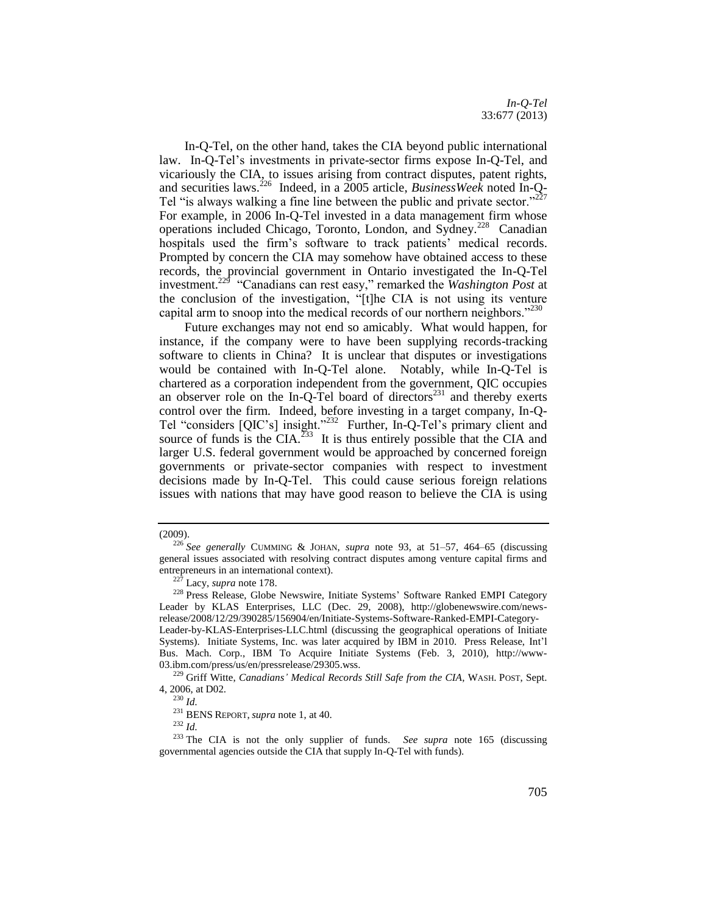*In-Q-Tel* 33:677 (2013)

In-Q-Tel, on the other hand, takes the CIA beyond public international law. In-Q-Tel's investments in private-sector firms expose In-Q-Tel, and vicariously the CIA, to issues arising from contract disputes, patent rights, and securities laws.<sup>226</sup> Indeed, in a 2005 article, *BusinessWeek* noted In-Q-Tel "is always walking a fine line between the public and private sector." $^{227}$ For example, in 2006 In-Q-Tel invested in a data management firm whose operations included Chicago, Toronto, London, and Sydney.<sup>228</sup> Canadian hospitals used the firm's software to track patients' medical records. Prompted by concern the CIA may somehow have obtained access to these records, the provincial government in Ontario investigated the In-Q-Tel investment.<sup>229</sup> "Canadians can rest easy," remarked the *Washington Post* at the conclusion of the investigation, "[t]he CIA is not using its venture capital arm to snoop into the medical records of our northern neighbors."<sup>230</sup>

Future exchanges may not end so amicably. What would happen, for instance, if the company were to have been supplying records-tracking software to clients in China? It is unclear that disputes or investigations would be contained with In-Q-Tel alone. Notably, while In-Q-Tel is chartered as a corporation independent from the government, QIC occupies an observer role on the In-Q-Tel board of directors<sup>231</sup> and thereby exerts control over the firm. Indeed, before investing in a target company, In-Q-Tel "considers [QIC's] insight."<sup>232</sup> Further, In-Q-Tel's primary client and source of funds is the CIA.<sup>233</sup> It is thus entirely possible that the CIA and larger U.S. federal government would be approached by concerned foreign governments or private-sector companies with respect to investment decisions made by In-Q-Tel. This could cause serious foreign relations issues with nations that may have good reason to believe the CIA is using

<sup>(2009).</sup>

<sup>226</sup> *See generally* CUMMING & JOHAN, *supra* note [93,](#page-13-1) at 51–57, 464–65 (discussing general issues associated with resolving contract disputes among venture capital firms and entrepreneurs in an international context).

<sup>227</sup> Lacy, *supra* not[e 178.](#page-22-2)

<sup>228</sup> Press Release, Globe Newswire, Initiate Systems' Software Ranked EMPI Category Leader by KLAS Enterprises, LLC (Dec. 29, 2008), http://globenewswire.com/newsrelease/2008/12/29/390285/156904/en/Initiate-Systems-Software-Ranked-EMPI-Category-

Leader-by-KLAS-Enterprises-LLC.html (discussing the geographical operations of Initiate Systems). Initiate Systems, Inc. was later acquired by IBM in 2010. Press Release, Int'l Bus. Mach. Corp., IBM To Acquire Initiate Systems (Feb. 3, 2010), http://www-03.ibm.com/press/us/en/pressrelease/29305.wss.

<sup>229</sup> Griff Witte, *Canadians' Medical Records Still Safe from the CIA*, WASH. POST, Sept. 4, 2006, at D02.

<sup>230</sup> *Id.*

<sup>231</sup> BENS REPORT, *supra* not[e 1,](#page-2-1) at 40.

<sup>232</sup> *Id.*

<sup>233</sup> The CIA is not the only supplier of funds. *See supra* note [165](#page-20-2) (discussing governmental agencies outside the CIA that supply In-Q-Tel with funds).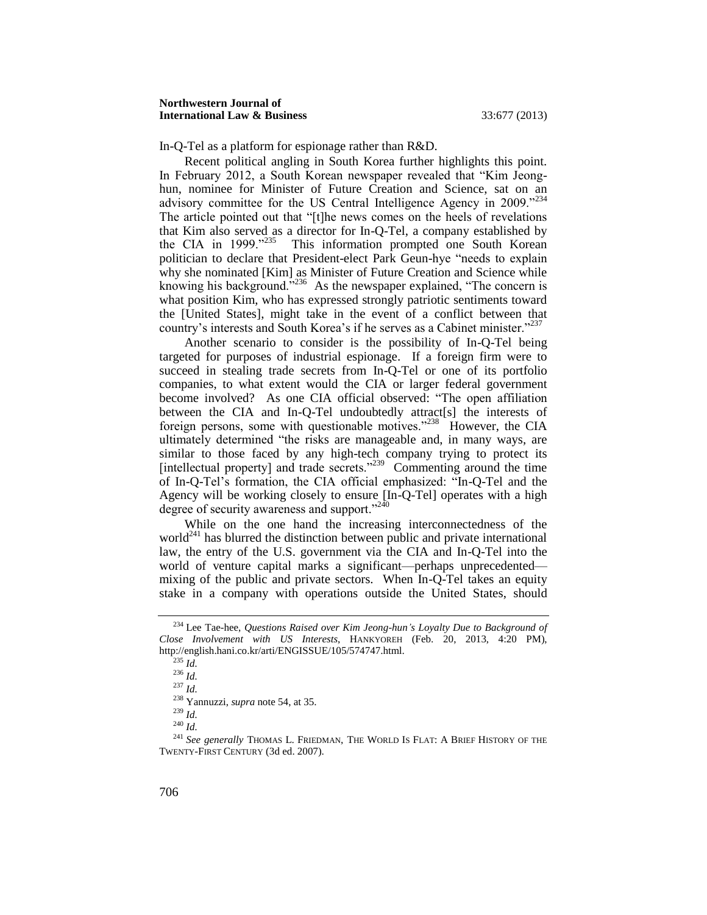In-Q-Tel as a platform for espionage rather than R&D.

Recent political angling in South Korea further highlights this point. In February 2012, a South Korean newspaper revealed that "Kim Jeonghun, nominee for Minister of Future Creation and Science, sat on an advisory committee for the US Central Intelligence Agency in 2009."<sup>234</sup> The article pointed out that "[t]he news comes on the heels of revelations that Kim also served as a director for In-Q-Tel, a company established by the CIA in 1999."<sup>235</sup> This information prompted one South Korean politician to declare that President-elect Park Geun-hye "needs to explain why she nominated [Kim] as Minister of Future Creation and Science while knowing his background.<sup>7236</sup> As the newspaper explained, "The concern is what position Kim, who has expressed strongly patriotic sentiments toward the [United States], might take in the event of a conflict between that country's interests and South Korea's if he serves as a Cabinet minister.<sup>"237</sup>

Another scenario to consider is the possibility of In-Q-Tel being targeted for purposes of industrial espionage. If a foreign firm were to succeed in stealing trade secrets from In-Q-Tel or one of its portfolio companies, to what extent would the CIA or larger federal government become involved? As one CIA official observed: "The open affiliation between the CIA and In-O-Tel undoubtedly attract[s] the interests of foreign persons, some with questionable motives."<sup>238</sup> However, the CIA ultimately determined "the risks are manageable and, in many ways, are similar to those faced by any high-tech company trying to protect its [intellectual property] and trade secrets."<sup>239</sup> Commenting around the time of In-Q-Tel's formation, the CIA official emphasized: "In-Q-Tel and the Agency will be working closely to ensure [In-Q-Tel] operates with a high degree of security awareness and support."<sup>240</sup>

While on the one hand the increasing interconnectedness of the world<sup>241</sup> has blurred the distinction between public and private international law, the entry of the U.S. government via the CIA and In-Q-Tel into the world of venture capital marks a significant—perhaps unprecedented mixing of the public and private sectors. When In-Q-Tel takes an equity stake in a company with operations outside the United States, should

<sup>234</sup> Lee Tae-hee, *Questions Raised over Kim Jeong-hun's Loyalty Due to Background of Close Involvement with US Interests*, HANKYOREH (Feb. 20, 2013, 4:20 PM), http://english.hani.co.kr/arti/ENGISSUE/105/574747.html.

 $\int^{235} Id.$ 

<sup>236</sup> *Id.*

<sup>237</sup> *Id.*

<sup>238</sup> Yannuzzi, *supra* not[e 54,](#page-9-0) at 35.

<sup>239</sup> *Id.*

<sup>240</sup> *Id.*

<sup>&</sup>lt;sup>241</sup> See generally THOMAS L. FRIEDMAN, THE WORLD IS FLAT: A BRIEF HISTORY OF THE TWENTY-FIRST CENTURY (3d ed. 2007).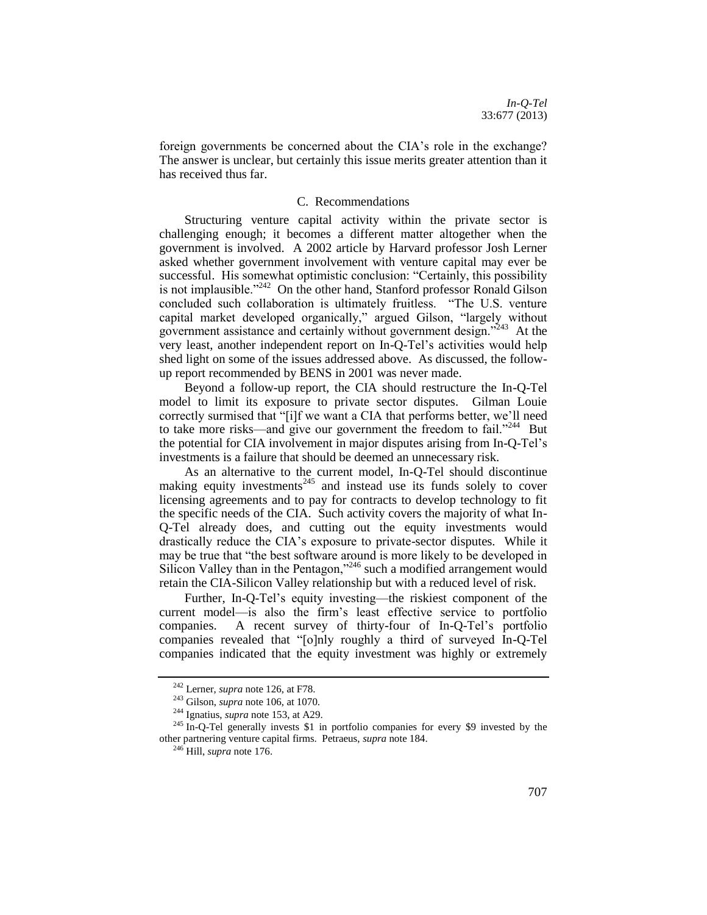foreign governments be concerned about the CIA's role in the exchange? The answer is unclear, but certainly this issue merits greater attention than it has received thus far.

#### C. Recommendations

<span id="page-31-0"></span>Structuring venture capital activity within the private sector is challenging enough; it becomes a different matter altogether when the government is involved. A 2002 article by Harvard professor Josh Lerner asked whether government involvement with venture capital may ever be successful. His somewhat optimistic conclusion: "Certainly, this possibility is not implausible."<sup>242</sup> On the other hand, Stanford professor Ronald Gilson concluded such collaboration is ultimately fruitless. "The U.S. venture capital market developed organically," argued Gilson, "largely without government assistance and certainly without government design."<sup>243</sup> At the very least, another independent report on In-Q-Tel's activities would help shed light on some of the issues addressed above. As discussed, the followup report recommended by BENS in 2001 was never made.

Beyond a follow-up report, the CIA should restructure the In-Q-Tel model to limit its exposure to private sector disputes. Gilman Louie correctly surmised that "[i]f we want a CIA that performs better, we'll need to take more risks—and give our government the freedom to fail."<sup>244</sup> But the potential for CIA involvement in major disputes arising from In-Q-Tel's investments is a failure that should be deemed an unnecessary risk.

As an alternative to the current model, In-Q-Tel should discontinue making equity investments<sup>245</sup> and instead use its funds solely to cover licensing agreements and to pay for contracts to develop technology to fit the specific needs of the CIA. Such activity covers the majority of what In-Q-Tel already does, and cutting out the equity investments would drastically reduce the CIA's exposure to private-sector disputes. While it may be true that "the best software around is more likely to be developed in Silicon Valley than in the Pentagon,"<sup>246</sup> such a modified arrangement would retain the CIA-Silicon Valley relationship but with a reduced level of risk.

Further, In-Q-Tel's equity investing—the riskiest component of the current model—is also the firm's least effective service to portfolio companies. A recent survey of thirty-four of In-Q-Tel's portfolio companies revealed that "[o]nly roughly a third of surveyed In-Q-Tel companies indicated that the equity investment was highly or extremely

<sup>242</sup> Lerner, *supra* not[e 126,](#page-16-1) at F78.

<sup>243</sup> Gilson, *supra* not[e 106,](#page-14-0) at 1070.

<sup>244</sup> Ignatius, *supra* not[e 153,](#page-19-0) at A29.

<sup>&</sup>lt;sup>245</sup> In-O-Tel generally invests \$1 in portfolio companies for every \$9 invested by the other partnering venture capital firms. Petraeus, *supra* not[e 184.](#page-23-1)

<sup>&</sup>lt;sup>246</sup> Hill, *supra* not[e 176.](#page-22-3)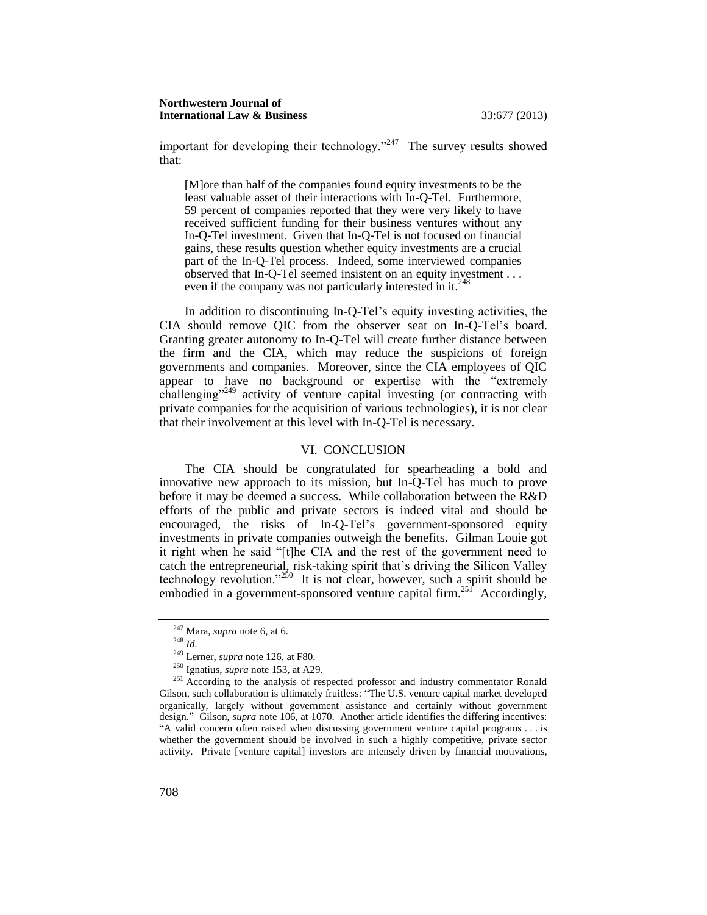important for developing their technology."<sup>247</sup> The survey results showed that:

[M]ore than half of the companies found equity investments to be the least valuable asset of their interactions with In-Q-Tel. Furthermore, 59 percent of companies reported that they were very likely to have received sufficient funding for their business ventures without any In-Q-Tel investment. Given that In-Q-Tel is not focused on financial gains, these results question whether equity investments are a crucial part of the In-Q-Tel process. Indeed, some interviewed companies observed that In-Q-Tel seemed insistent on an equity investment . . . even if the company was not particularly interested in it.<sup>248</sup>

In addition to discontinuing In-Q-Tel's equity investing activities, the CIA should remove QIC from the observer seat on In-Q-Tel's board. Granting greater autonomy to In-Q-Tel will create further distance between the firm and the CIA, which may reduce the suspicions of foreign governments and companies. Moreover, since the CIA employees of QIC appear to have no background or expertise with the "extremely challenging"<sup>249</sup> activity of venture capital investing (or contracting with private companies for the acquisition of various technologies), it is not clear that their involvement at this level with In-Q-Tel is necessary.

#### VI. CONCLUSION

<span id="page-32-0"></span>The CIA should be congratulated for spearheading a bold and innovative new approach to its mission, but In-Q-Tel has much to prove before it may be deemed a success. While collaboration between the R&D efforts of the public and private sectors is indeed vital and should be encouraged, the risks of In-Q-Tel's government-sponsored equity investments in private companies outweigh the benefits. Gilman Louie got it right when he said "[t]he CIA and the rest of the government need to catch the entrepreneurial, risk-taking spirit that's driving the Silicon Valley technology revolution."<sup>250</sup> It is not clear, however, such a spirit should be embodied in a government-sponsored venture capital firm.<sup>25f</sup> Accordingly,

<sup>247</sup> Mara, *supra* not[e 6,](#page-3-1) at 6.

<sup>248</sup> *Id.*

<sup>249</sup> Lerner, *supra* not[e 126,](#page-16-1) at F80.

<sup>250</sup> Ignatius, *supra* not[e 153,](#page-19-0) at A29.

<sup>&</sup>lt;sup>251</sup> According to the analysis of respected professor and industry commentator Ronald Gilson, such collaboration is ultimately fruitless: "The U.S. venture capital market developed organically, largely without government assistance and certainly without government design." Gilson, *supra* not[e 106,](#page-14-0) at 1070. Another article identifies the differing incentives: "A valid concern often raised when discussing government venture capital programs . . . is whether the government should be involved in such a highly competitive, private sector activity. Private [venture capital] investors are intensely driven by financial motivations,